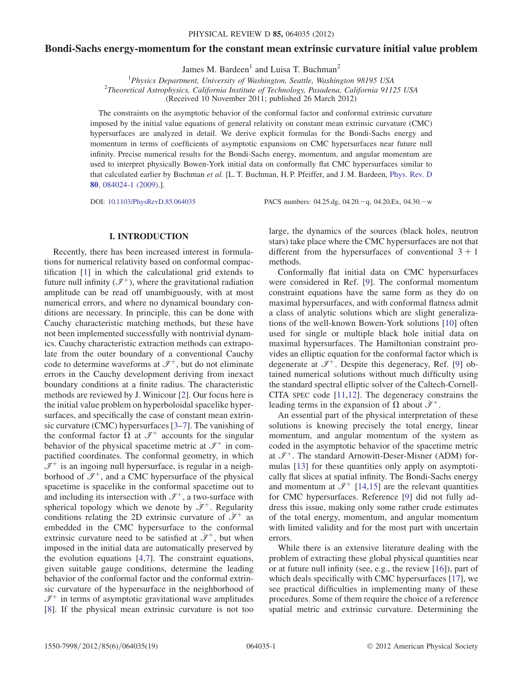## Bondi-Sachs energy-momentum for the constant mean extrinsic curvature initial value problem

James M. Bardeen<sup>1</sup> and Luisa T. Buchman<sup>2</sup>

<sup>1</sup>Physics Department, University of Washington, Seattle, Washington 98195 USA<br><sup>2</sup>Theoretical Astrophysics, California Institute of Technology, Basedana, California 011

 $2$ Theoretical Astrophysics, California Institute of Technology, Pasadena, California 91125 USA

(Received 10 November 2011; published 26 March 2012)

The constraints on the asymptotic behavior of the conformal factor and conformal extrinsic curvature imposed by the initial value equations of general relativity on constant mean extrinsic curvature (CMC) hypersurfaces are analyzed in detail. We derive explicit formulas for the Bondi-Sachs energy and momentum in terms of coefficients of asymptotic expansions on CMC hypersurfaces near future null infinity. Precise numerical results for the Bondi-Sachs energy, momentum, and angular momentum are used to interpret physically Bowen-York initial data on conformally flat CMC hypersurfaces similar to that calculated earlier by Buchman et al. [L. T. Buchman, H. P. Pfeiffer, and J. M. Bardeen, [Phys. Rev. D](http://dx.doi.org/10.1103/PhysRevD.80.084024) 80[, 084024-1 \(2009\)](http://dx.doi.org/10.1103/PhysRevD.80.084024).].

DOI: [10.1103/PhysRevD.85.064035](http://dx.doi.org/10.1103/PhysRevD.85.064035) PACS numbers: 04.25.dg, 04.20.-q, 04.20.Ex, 04.30.-w

### I. INTRODUCTION

Recently, there has been increased interest in formulations for numerical relativity based on conformal compactification [[1\]](#page-18-0) in which the calculational grid extends to future null infinity  $(\mathcal{I}^+)$ , where the gravitational radiation amplitude can be read off unambiguously, with at most numerical errors, and where no dynamical boundary conditions are necessary. In principle, this can be done with Cauchy characteristic matching methods, but these have not been implemented successfully with nontrivial dynamics. Cauchy characteristic extraction methods can extrapolate from the outer boundary of a conventional Cauchy code to determine waveforms at  $\mathcal{I}^+$ , but do not eliminate errors in the Cauchy development deriving from inexact boundary conditions at a finite radius. The characteristic methods are reviewed by J. Winicour [\[2\]](#page-18-1). Our focus here is the initial value problem on hyperboloidal spacelike hypersurfaces, and specifically the case of constant mean extrinsic curvature (CMC) hypersurfaces [\[3–](#page-18-2)[7](#page-18-3)]. The vanishing of the conformal factor  $\Omega$  at  $\mathcal{I}^+$  accounts for the singular behavior of the physical spacetime metric at  $\mathcal{I}^+$  in compactified coordinates. The conformal geometry, in which  $\mathcal{I}^+$  is an ingoing null hypersurface, is regular in a neighborhood of  $\mathcal{I}^+$ , and a CMC hypersurface of the physical spacetime is spacelike in the conformal spacetime out to and including its intersection with  $\mathcal{I}^+$ , a two-surface with spherical topology which we denote by  $\mathcal{F}^+$ . Regularity conditions relating the 2D extrinsic curvature of  $\mathcal{F}^+$  as embedded in the CMC hypersurface to the conformal extrinsic curvature need to be satisfied at  $\mathcal{F}^+$ , but when imposed in the initial data are automatically preserved by the evolution equations [[4](#page-18-4)[,7\]](#page-18-3). The constraint equations, given suitable gauge conditions, determine the leading behavior of the conformal factor and the conformal extrinsic curvature of the hypersurface in the neighborhood of  $\mathcal{I}^+$  in terms of asymptotic gravitational wave amplitudes [\[8\]](#page-18-5). If the physical mean extrinsic curvature is not too

large, the dynamics of the sources (black holes, neutron stars) take place where the CMC hypersurfaces are not that different from the hypersurfaces of conventional  $3 + 1$ methods.

Conformally flat initial data on CMC hypersurfaces were considered in Ref. [\[9](#page-18-6)]. The conformal momentum constraint equations have the same form as they do on maximal hypersurfaces, and with conformal flatness admit a class of analytic solutions which are slight generalizations of the well-known Bowen-York solutions [\[10\]](#page-18-7) often used for single or multiple black hole initial data on maximal hypersurfaces. The Hamiltonian constraint provides an elliptic equation for the conformal factor which is degenerate at  $\mathcal{I}^+$ . Despite this degeneracy, Ref. [\[9\]](#page-18-6) obtained numerical solutions without much difficulty using the standard spectral elliptic solver of the Caltech-Cornell-CITA SPEC code [\[11](#page-18-8)[,12\]](#page-18-9). The degeneracy constrains the leading terms in the expansion of  $\Omega$  about  $\mathcal{I}^+$ .

An essential part of the physical interpretation of these solutions is knowing precisely the total energy, linear momentum, and angular momentum of the system as coded in the asymptotic behavior of the spacetime metric at  $\mathcal{I}^+$ . The standard Arnowitt-Deser-Misner (ADM) formulas [\[13\]](#page-18-10) for these quantities only apply on asymptotically flat slices at spatial infinity. The Bondi-Sachs energy and momentum at  $\mathcal{I}^+$  [\[14,](#page-18-11)[15\]](#page-18-12) are the relevant quantities for CMC hypersurfaces. Reference [\[9](#page-18-6)] did not fully address this issue, making only some rather crude estimates of the total energy, momentum, and angular momentum with limited validity and for the most part with uncertain errors.

While there is an extensive literature dealing with the problem of extracting these global physical quantities near or at future null infinity (see, e.g., the review [\[16\]](#page-18-13)), part of which deals specifically with CMC hypersurfaces [[17](#page-18-14)], we see practical difficulties in implementing many of these procedures. Some of them require the choice of a reference spatial metric and extrinsic curvature. Determining the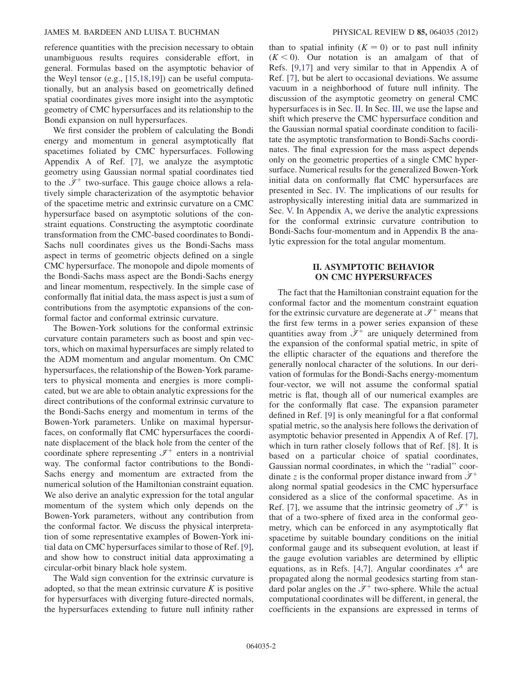reference quantities with the precision necessary to obtain unambiguous results requires considerable effort, in general. Formulas based on the asymptotic behavior of the Weyl tensor (e.g., [\[15](#page-18-12)[,18](#page-18-15)[,19\]](#page-18-16)) can be useful computationally, but an analysis based on geometrically defined spatial coordinates gives more insight into the asymptotic geometry of CMC hypersurfaces and its relationship to the Bondi expansion on null hypersurfaces.

We first consider the problem of calculating the Bondi energy and momentum in general asymptotically flat spacetimes foliated by CMC hypersurfaces. Following Appendix A of Ref. [[7\]](#page-18-3), we analyze the asymptotic geometry using Gaussian normal spatial coordinates tied to the  $\mathcal{I}^+$  two-surface. This gauge choice allows a relatively simple characterization of the asymptotic behavior of the spacetime metric and extrinsic curvature on a CMC hypersurface based on asymptotic solutions of the constraint equations. Constructing the asymptotic coordinate transformation from the CMC-based coordinates to Bondi-Sachs null coordinates gives us the Bondi-Sachs mass aspect in terms of geometric objects defined on a single CMC hypersurface. The monopole and dipole moments of the Bondi-Sachs mass aspect are the Bondi-Sachs energy and linear momentum, respectively. In the simple case of conformally flat initial data, the mass aspect is just a sum of contributions from the asymptotic expansions of the conformal factor and conformal extrinsic curvature.

The Bowen-York solutions for the conformal extrinsic curvature contain parameters such as boost and spin vectors, which on maximal hypersurfaces are simply related to the ADM momentum and angular momentum. On CMC hypersurfaces, the relationship of the Bowen-York parameters to physical momenta and energies is more complicated, but we are able to obtain analytic expressions for the direct contributions of the conformal extrinsic curvature to the Bondi-Sachs energy and momentum in terms of the Bowen-York parameters. Unlike on maximal hypersurfaces, on conformally flat CMC hypersurfaces the coordinate displacement of the black hole from the center of the coordinate sphere representing  $\mathcal{I}^+$  enters in a nontrivial way. The conformal factor contributions to the Bondi-Sachs energy and momentum are extracted from the numerical solution of the Hamiltonian constraint equation. We also derive an analytic expression for the total angular momentum of the system which only depends on the Bowen-York parameters, without any contribution from the conformal factor. We discuss the physical interpretation of some representative examples of Bowen-York initial data on CMC hypersurfaces similar to those of Ref. [[9\]](#page-18-6), and show how to construct initial data approximating a circular-orbit binary black hole system.

The Wald sign convention for the extrinsic curvature is adopted, so that the mean extrinsic curvature  $K$  is positive for hypersurfaces with diverging future-directed normals, the hypersurfaces extending to future null infinity rather than to spatial infinity  $(K = 0)$  or to past null infinity  $(K < 0)$ . Our notation is an amalgam of that of Refs. [[9](#page-18-6),[17](#page-18-14)] and very similar to that in Appendix A of Ref. [\[7\]](#page-18-3), but be alert to occasional deviations. We assume vacuum in a neighborhood of future null infinity. The discussion of the asymptotic geometry on general CMC hypersurfaces is in Sec. [II.](#page-1-0) In Sec. [III,](#page-3-0) we use the lapse and shift which preserve the CMC hypersurface condition and the Gaussian normal spatial coordinate condition to facilitate the asymptotic transformation to Bondi-Sachs coordinates. The final expression for the mass aspect depends only on the geometric properties of a single CMC hypersurface. Numerical results for the generalized Bowen-York initial data on conformally flat CMC hypersurfaces are presented in Sec. [IV.](#page-7-0) The implications of our results for astrophysically interesting initial data are summarized in Sec. [V.](#page-13-0) In Appendix [A](#page-15-0), we derive the analytic expressions for the conformal extrinsic curvature contribution to Bondi-Sachs four-momentum and in Appendix [B](#page-16-0) the analytic expression for the total angular momentum.

# II. ASYMPTOTIC BEHAVIOR ON CMC HYPERSURFACES

<span id="page-1-0"></span>The fact that the Hamiltonian constraint equation for the conformal factor and the momentum constraint equation for the extrinsic curvature are degenerate at  $\mathcal{I}^+$  means that the first few terms in a power series expansion of these quantities away from  $\mathcal{F}^+$  are uniquely determined from the expansion of the conformal spatial metric, in spite of the elliptic character of the equations and therefore the generally nonlocal character of the solutions. In our derivation of formulas for the Bondi-Sachs energy-momentum four-vector, we will not assume the conformal spatial metric is flat, though all of our numerical examples are for the conformally flat case. The expansion parameter defined in Ref. [\[9](#page-18-6)] is only meaningful for a flat conformal spatial metric, so the analysis here follows the derivation of asymptotic behavior presented in Appendix A of Ref. [[7\]](#page-18-3), which in turn rather closely follows that of Ref. [\[8\]](#page-18-5). It is based on a particular choice of spatial coordinates, Gaussian normal coordinates, in which the ''radial'' coordinate z is the conformal proper distance inward from  $\mathcal{I}^+$ along normal spatial geodesics in the CMC hypersurface considered as a slice of the conformal spacetime. As in Ref. [[7\]](#page-18-3), we assume that the intrinsic geometry of  $\mathcal{F}^+$  is that of a two-sphere of fixed area in the conformal geometry, which can be enforced in any asymptotically flat spacetime by suitable boundary conditions on the initial conformal gauge and its subsequent evolution, at least if the gauge evolution variables are determined by elliptic equations, as in Refs. [[4](#page-18-4)[,7\]](#page-18-3). Angular coordinates  $x<sup>A</sup>$  are propagated along the normal geodesics starting from standard polar angles on the  $\mathcal{F}^+$  two-sphere. While the actual computational coordinates will be different, in general, the coefficients in the expansions are expressed in terms of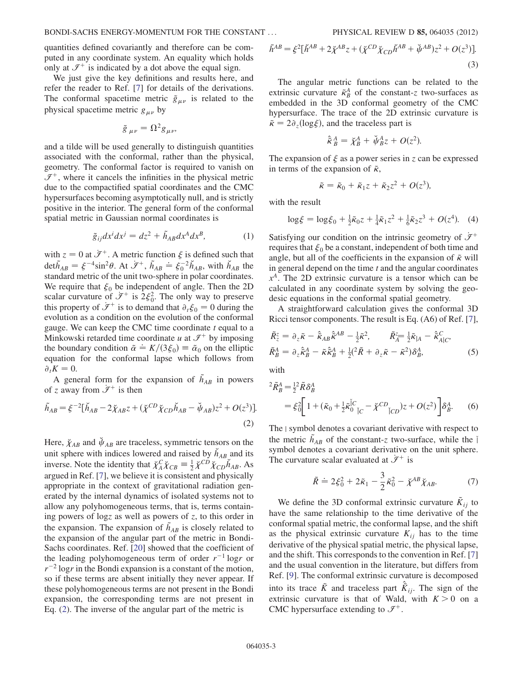quantities defined covariantly and therefore can be computed in any coordinate system. An equality which holds only at  $\mathcal{I}^+$  is indicated by a dot above the equal sign.

We just give the key definitions and results here, and refer the reader to Ref. [\[7\]](#page-18-3) for details of the derivations. The conformal spacetime metric  $\tilde{g}_{\mu\nu}$  is related to the physical spacetime metric  $g_{\mu\nu}$  by

$$
\tilde{g}_{\mu\nu} = \Omega^2 g_{\mu\nu},
$$

and a tilde will be used generally to distinguish quantities associated with the conformal, rather than the physical, geometry. The conformal factor is required to vanish on  $\mathcal{I}^+$ , where it cancels the infinities in the physical metric due to the compactified spatial coordinates and the CMC hypersurfaces becoming asymptotically null, and is strictly positive in the interior. The general form of the conformal spatial metric in Gaussian normal coordinates is

$$
\tilde{g}_{ij}dx^i dx^j = dz^2 + \tilde{h}_{AB}dx^A dx^B, \qquad (1)
$$

with  $z = 0$  at  $\mathcal{F}^+$ . A metric function  $\xi$  is defined such that det $h_{AB} = \xi^{-4} \sin^2 \theta$ . At  $\dot{\mathcal{F}}^+$ ,  $\tilde{h}_{AB} \doteq \xi_0^{-2} \tilde{h}_{AB}$ , with  $\tilde{h}_{AB}$  the<br>standard metric of the unit two-sphere in polar coordinates standard metric of the unit two-sphere in polar coordinates. We require that  $\xi_0$  be independent of angle. Then the 2D scalar curvature of  $\dot{\mathcal{F}}^+$  is  $2\xi_0^2$ . The only way to preserve this property of  $\mathcal{F}^+$  is to demand that  $\partial_t \xi_0 = 0$  during the evolution as a condition on the evolution of the conformal gauge. We can keep the CMC time coordinate  $t$  equal to a Minkowski retarded time coordinate u at  $\mathcal{I}^+$  by imposing the boundary condition  $\tilde{\alpha} = K/(3\xi_0) \equiv \tilde{\alpha}_0$  on the elliptic<br>equation for the conformal lanse which follows from equation for the conformal lapse which follows from  $\partial_t K = 0.$ 

<span id="page-2-0"></span>A general form for the expansion of  $\tilde{h}_{AB}$  in powers of z away from  $\mathcal{F}^+$  is then

$$
\tilde{h}_{AB} = \xi^{-2} [\check{h}_{AB} - 2\check{\chi}_{AB}z + (\check{\chi}^{CD}\check{\chi}_{CD}\check{h}_{AB} - \check{\psi}_{AB})z^2 + O(z^3)].
$$
\n(2)

Here,  $\ddot{\chi}_{AB}$  and  $\ddot{\psi}_{AB}$  are traceless, symmetric tensors on the unit sphere with indices lowered and raised by  $\check{h}_{AB}$  and its inverse. Note the identity that  $\chi_A^C \chi_{CB} \equiv \frac{1}{2} \chi^{CD} \chi_{CD} \check{h}_{AB}$ . As mverse. Note the identity that  $\chi_A \chi_{CB} = \frac{1}{2} \chi^{2} \chi^{2} \chi_{CD} n_{AB}$ . As argued in Ref. [[7](#page-18-3)], we believe it is consistent and physically appropriate in the context of gravitational radiation generated by the internal dynamics of isolated systems not to allow any polyhomogeneous terms, that is, terms containing powers of logz as well as powers of z, to this order in the expansion. The expansion of  $\tilde{h}_{AB}$  is closely related to the expansion of the angular part of the metric in Bondi-Sachs coordinates. Ref. [\[20\]](#page-18-17) showed that the coefficient of the leading polyhomogeneous term of order  $r^{-1}$  logr or  $r^{-2}$  logr in the Bondi expansion is a constant of the motion, so if these terms are absent initially they never appear. If these polyhomogeneous terms are not present in the Bondi expansion, the corresponding terms are not present in Eq. ([2\)](#page-2-0). The inverse of the angular part of the metric is

$$
\tilde{h}^{AB} = \xi^2 [\check{h}^{AB} + 2\check{\chi}^{AB} z + (\check{\chi}^{CD} \check{\chi}_{CD} \check{h}^{AB} + \check{\psi}^{AB}) z^2 + O(z^3)].
$$
\n(3)

The angular metric functions can be related to the extrinsic curvature  $\tilde{\kappa}_B^A$  of the constant-z two-surfaces as embedded in the 3D conformal geometry of the CMC hypersurface. The trace of the 2D extrinsic curvature is  $\tilde{\kappa} = 2\partial_{z}(\log \xi)$ , and the traceless part is

$$
\hat{\tilde{\kappa}}_B^A = \check{\chi}_B^A + \check{\psi}_B^A z + O(z^2).
$$

The expansion of  $\xi$  as a power series in z can be expressed in terms of the expansion of  $\tilde{\kappa}$ ,

$$
\tilde{\kappa} = \tilde{\kappa}_0 + \tilde{\kappa}_1 z + \tilde{\kappa}_2 z^2 + O(z^3),
$$

<span id="page-2-1"></span>with the result

$$
\log \xi = \log \xi_0 + \frac{1}{2}\tilde{\kappa}_0 z + \frac{1}{4}\tilde{\kappa}_1 z^2 + \frac{1}{6}\tilde{\kappa}_2 z^3 + O(z^4). \tag{4}
$$

Satisfying our condition on the intrinsic geometry of  $\mathcal{F}^+$ requires that  $\xi_0$  be a constant, independent of both time and angle, but all of the coefficients in the expansion of  $\tilde{\kappa}$  will in general depend on the time  $t$  and the angular coordinates  $x<sup>A</sup>$ . The 2D extrinsic curvature is a tensor which can be calculated in any coordinate system by solving the geodesic equations in the conformal spatial geometry.

A straightforward calculation gives the conformal 3D Ricci tensor components. The result is Eq. (A6) of Ref. [[7\]](#page-18-3),

$$
\tilde{R}_{\tilde{z}}^z = \partial_z \tilde{\kappa} - \hat{\tilde{\kappa}}_{AB} \hat{\tilde{\kappa}}^{AB} - \frac{1}{2} \tilde{\kappa}^2, \qquad \tilde{R}_{\tilde{A}}^z = \frac{1}{2} \tilde{\kappa}_{|A} - \hat{\tilde{\kappa}}_{A|C}^C,
$$
\n
$$
\tilde{R}_{\tilde{B}}^A = \partial_z \hat{\kappa}_{\tilde{B}}^A - \tilde{\kappa} \hat{\kappa}_{\tilde{B}}^A + \frac{1}{2} (\tilde{P} \tilde{\kappa} + \partial_z \tilde{\kappa} - \tilde{\kappa}^2) \delta_{\tilde{B}}^A,
$$
\n(5)

with  $\mathcal{L}$ 

$$
\tilde{R}_{B}^{A} = \frac{1}{2} \tilde{R} \delta_{B}^{A}
$$
\n
$$
= \xi_{0}^{2} \left[ 1 + (\tilde{\kappa}_{0} + \frac{1}{2} \tilde{\kappa}_{0}^{[C} - \tilde{\chi}^{CD}{}_{[CD)} z + O(z^{2}) \right] \delta_{B}^{A}.
$$
\n(6)

The  $\vert$  symbol denotes a covariant derivative with respect to the metric  $\tilde{h}_{AB}$  of the constant-z two-surface, while the  $\check{p}$ symbol denotes a covariant derivative on the unit sphere. The curvature scalar evaluated at  $\mathcal{F}^+$  is

$$
\tilde{R} \doteq 2\xi_0^2 + 2\tilde{\kappa}_1 - \frac{3}{2}\tilde{\kappa}_0^2 - \check{\chi}^{AB}\check{\chi}_{AB}.
$$
 (7)

We define the 3D conformal extrinsic curvature  $\ddot{K}_{ij}$  to have the same relationship to the time derivative of the conformal spatial metric, the conformal lapse, and the shift as the physical extrinsic curvature  $K_{ii}$  has to the time derivative of the physical spatial metric, the physical lapse, and the shift. This corresponds to the convention in Ref. [\[7\]](#page-18-3) and the usual convention in the literature, but differs from Ref. [[9](#page-18-6)]. The conformal extrinsic curvature is decomposed into its trace  $\tilde{K}$  and traceless part  $\hat{\tilde{K}}_{ij}$ . The sign of the extrinsic curvature is that of Wald, with  $K > 0$  on a CMC hypersurface extending to  $\mathcal{I}^+$ .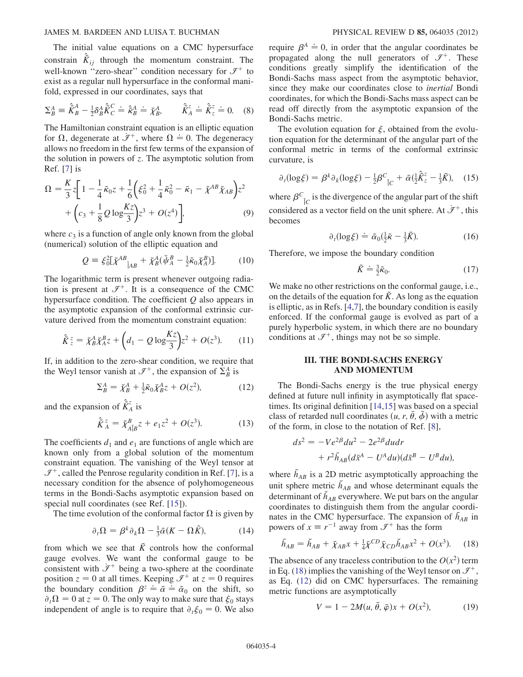The initial value equations on a CMC hypersurface constrain  $\hat{\tilde{K}}_{ij}$  through the momentum constraint. The well-known "zero-shear" condition necessary for  $\mathcal{I}^+$  to exist as a regular null hypersurface in the conformal manifold, expressed in our coordinates, says that

$$
\Sigma_B^A = \hat{\tilde{K}}_B^A - \frac{1}{2} \delta_B^A \hat{\tilde{K}}_C^C \doteq \hat{\tilde{\kappa}}_B^A \doteq \check{\chi}_B^A, \qquad \hat{\tilde{K}}_A^z \doteq \hat{\tilde{K}}_z^z \doteq 0. \quad (8)
$$

The Hamiltonian constraint equation is an elliptic equation for  $\Omega$ , degenerate at  $\dot{\mathcal{F}}^+$ , where  $\Omega = 0$ . The degeneracy<br>allows no freedom in the first few terms of the expansion of allows no freedom in the first few terms of the expansion of the solution in powers of  $z$ . The asymptotic solution from Ref. [\[7](#page-18-3)] is

<span id="page-3-6"></span>
$$
\Omega = \frac{K}{3} z \bigg[ 1 - \frac{1}{4} \tilde{\kappa}_0 z + \frac{1}{6} \bigg( \xi_0^2 + \frac{1}{4} \tilde{\kappa}_0^2 - \tilde{\kappa}_1 - \tilde{\chi}^{AB} \tilde{\chi}_{AB} \bigg) z^2 + \bigg( c_3 + \frac{1}{8} Q \log \frac{Kz}{3} \bigg) z^3 + O(z^4) \bigg],
$$
\n(9)

<span id="page-3-8"></span>where  $c_3$  is a function of angle only known from the global (numerical) solution of the elliptic equation and

$$
Q = \xi_0^2 \left[ \check{\chi}^{AB} \right]_{AB} + \check{\chi}_B^A (\check{\psi}_A^B - \frac{1}{2} \tilde{\kappa}_0 \check{\chi}_A^B) \right]. \tag{10}
$$

The logarithmic term is present whenever outgoing radiation is present at  $\mathcal{I}^+$ . It is a consequence of the CMC hypersurface condition. The coefficient  $Q$  also appears in the asymptotic expansion of the conformal extrinsic curvature derived from the momentum constraint equation:

<span id="page-3-7"></span>
$$
\hat{\tilde{K}}_z^z = \check{\chi}_B^A \check{\chi}_A^B z + \left(d_1 - Q \log \frac{Kz}{3}\right) z^2 + O(z^3). \tag{11}
$$

<span id="page-3-2"></span>If, in addition to the zero-shear condition, we require that the Weyl tensor vanish at  $\mathcal{I}^+$ , the expansion of  $\Sigma^A_B$  is

$$
\Sigma_B^A = \check{\chi}_B^A + \frac{1}{2}\tilde{\kappa}_0 \check{\chi}_B^A z + O(z^2),\tag{12}
$$

and the expansion of  $\hat{\tilde{K}}_A^z$  is

$$
\hat{\tilde{K}}_A^z = \tilde{\chi}_{A|B}^B z + e_1 z^2 + O(z^3).
$$
 (13)

The coefficients  $d_1$  and  $e_1$  are functions of angle which are known only from a global solution of the momentum constraint equation. The vanishing of the Weyl tensor at  $\mathcal{I}^+$ , called the Penrose regularity condition in Ref. [[7\]](#page-18-3), is a necessary condition for the absence of polyhomogeneous terms in the Bondi-Sachs asymptotic expansion based on special null coordinates (see Ref. [\[15\]](#page-18-12)).

<span id="page-3-4"></span>The time evolution of the conformal factor  $\Omega$  is given by

$$
\partial_t \Omega = \beta^k \partial_k \Omega - \frac{1}{3} \tilde{\alpha} (K - \Omega \tilde{K}), \tag{14}
$$

from which we see that  $\tilde{K}$  controls how the conformal gauge evolves. We want the conformal gauge to be consistent with  $\mathcal{F}^+$  being a two-sphere at the coordinate position  $z = 0$  at all times. Keeping  $\mathcal{I}^+$  at  $z = 0$  requires the boundary condition  $\beta^z = \tilde{\alpha} = \tilde{\alpha}_0$  on the shift, so<br>  $\partial_{z} \Omega = 0$  at  $z = 0$ . The only way to make sure that  $\zeta_0$  stays  $\partial_t \Omega = 0$  at  $z = 0$ . The only way to make sure that  $\xi_0$  stays independent of angle is to require that  $\partial_t \xi_0 = 0$ . We also

require  $\beta^A = 0$ , in order that the angular coordinates be<br>propagated, along the null generators of  $\mathcal{I}^+$ . These propagated along the null generators of  $\mathcal{I}^+$ . These conditions greatly simplify the identification of the Bondi-Sachs mass aspect from the asymptotic behavior, since they make our coordinates close to inertial Bondi coordinates, for which the Bondi-Sachs mass aspect can be read off directly from the asymptotic expansion of the Bondi-Sachs metric.

The evolution equation for  $\xi$ , obtained from the evolution equation for the determinant of the angular part of the conformal metric in terms of the conformal extrinsic curvature, is

<span id="page-3-5"></span>
$$
\partial_t(\log \xi) = \beta^k \partial_k(\log \xi) - \frac{1}{2} \beta^C_{\vec{l}C} + \tilde{\alpha} (\frac{1}{2} \tilde{\hat{K}}_z^z - \frac{1}{3} \tilde{K}), \quad (15)
$$

where  $\beta_{\text{C}_{\text{N}}}^C$ ic is the divergence of the angular part of the shift<br>d as a vector field on the unit sphere. At  $\overline{z}^+$  this considered as a vector field on the unit sphere. At  $\mathcal{F}^+$ , this becomes

$$
\partial_t(\log \xi) \doteq \tilde{\alpha}_0(\tfrac{1}{2}\tilde{\kappa} - \tfrac{1}{3}\tilde{\kappa}).\tag{16}
$$

<span id="page-3-3"></span>Therefore, we impose the boundary condition

$$
\tilde{K} \doteq \frac{3}{2}\tilde{\kappa}_0. \tag{17}
$$

We make no other restrictions on the conformal gauge, i.e., on the details of the equation for  $\tilde{K}$ . As long as the equation is elliptic, as in Refs. [[4,](#page-18-4)[7\]](#page-18-3), the boundary condition is easily enforced. If the conformal gauge is evolved as part of a purely hyperbolic system, in which there are no boundary conditions at  $\mathcal{I}^+$ , things may not be so simple.

### III. THE BONDI-SACHS ENERGY AND MOMENTUM

The Bondi-Sachs energy is the true physical energy defined at future null infinity in asymptotically flat spacetimes. Its original definition [[14](#page-18-11),[15](#page-18-12)] was based on a special class of retarded null coordinates  $(u, r, \bar{\theta}, \bar{\phi})$  with a metric<br>of the form in close to the notation of Ref. [8] of the form, in close to the notation of Ref. [[8](#page-18-5)],

<span id="page-3-0"></span>
$$
ds2 = -Ve2\beta du2 - 2e2\beta du dr
$$
  
+  $r2 \bar{h}_{AB} (d\bar{x}^A - U^A du)(d\bar{x}^B - U^B du),$ 

where  $\bar{h}_{AB}$  is a 2D metric asymptotically approaching the unit sphere metric  $\check{h}_{AB}$  and whose determinant equals the determinant of  $\check{h}_{AB}$  everywhere. We put bars on the angular coordinates to distinguish them from the angular coordinates in the CMC hypersurface. The expansion of  $\bar{h}_{AB}$  in powers of  $x \equiv r^{-1}$  away from  $\mathcal{I}^+$  has the form

<span id="page-3-1"></span>
$$
\bar{h}_{AB} = \tilde{h}_{AB} + \bar{\chi}_{AB}x + \frac{1}{4}\bar{\chi}^{CD}\bar{\chi}_{CD}\tilde{h}_{AB}x^2 + O(x^3).
$$
 (18)

The absence of any traceless contribution to the  $O(x^2)$  term in Eq. [\(18\)](#page-3-1) implies the vanishing of the Weyl tensor on  $\mathcal{I}^+$ , as Eq. ([12](#page-3-2)) did on CMC hypersurfaces. The remaining metric functions are asymptotically

$$
V = 1 - 2M(u, \bar{\theta}, \bar{\varphi})x + O(x^2), \tag{19}
$$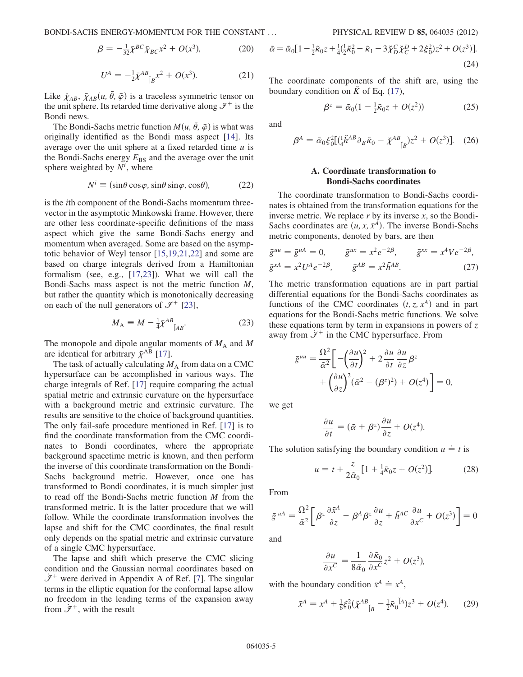BONDI-SACHS ENERGY-MOMENTUM FOR THE CONSTANT ... PHYSICAL REVIEW D 85, 064045 (2013)

$$
\beta = -\frac{1}{32}\bar{\chi}^{BC}\bar{\chi}_{BC}x^2 + O(x^3),\tag{20}
$$

$$
U^A = -\frac{1}{2}\bar{\chi}^{AB}_{\ \bar{\beta}}x^2 + O(x^3). \tag{21}
$$

Like  $\check{\chi}_{AB}, \bar{\chi}_{AB}(u, \bar{\theta}, \bar{\varphi})$  is a traceless symmetric tensor on the unit sphere. Its retarded time derivative along  $\mathcal{F}^+$  is the the unit sphere. Its retarded time derivative along  $\mathcal{I}^+$  is the Bondi news.

The Bondi-Sachs metric function  $M(u, \bar{\theta}, \bar{\varphi})$  is what was originally identified as the Bondi mass aspect [\[14](#page-18-11)]. Its average over the unit sphere at a fixed retarded time  $u$  is the Bondi-Sachs energy  $E_{BS}$  and the average over the unit sphere weighted by  $N^i$ , where

$$
N^{i} \equiv (\sin \theta \cos \varphi, \sin \theta \sin \varphi, \cos \theta), \tag{22}
$$

is the ith component of the Bondi-Sachs momentum threevector in the asymptotic Minkowski frame. However, there are other less coordinate-specific definitions of the mass aspect which give the same Bondi-Sachs energy and momentum when averaged. Some are based on the asymptotic behavior of Weyl tensor [[15](#page-18-12),[19](#page-18-16),[21](#page-18-18),[22](#page-18-19)] and some are based on charge integrals derived from a Hamiltonian formalism (see, e.g., [\[17,](#page-18-14)[23\]](#page-18-20)). What we will call the Bondi-Sachs mass aspect is not the metric function M, but rather the quantity which is monotonically decreasing on each of the null generators of  $\mathcal{I}^+$  [[23](#page-18-20)],

$$
M_A \equiv M - \frac{1}{4} \bar{\chi}^{AB}{}_{\check{A}B}.
$$
 (23)

<span id="page-4-2"></span>The monopole and dipole angular moments of  $M_A$  and  $M_A$ are identical for arbitrary  $\bar{\chi}^{AB}$  [[17\]](#page-18-14).

The task of actually calculating  $M_A$  from data on a CMC hypersurface can be accomplished in various ways. The charge integrals of Ref. [\[17\]](#page-18-14) require comparing the actual spatial metric and extrinsic curvature on the hypersurface with a background metric and extrinsic curvature. The results are sensitive to the choice of background quantities. The only fail-safe procedure mentioned in Ref. [\[17\]](#page-18-14) is to find the coordinate transformation from the CMC coordinates to Bondi coordinates, where the appropriate background spacetime metric is known, and then perform the inverse of this coordinate transformation on the Bondi-Sachs background metric. However, once one has transformed to Bondi coordinates, it is much simpler just to read off the Bondi-Sachs metric function M from the transformed metric. It is the latter procedure that we will follow. While the coordinate transformation involves the lapse and shift for the CMC coordinates, the final result only depends on the spatial metric and extrinsic curvature of a single CMC hypersurface.

The lapse and shift which preserve the CMC slicing condition and the Gaussian normal coordinates based on  $\mathcal{F}^+$  were derived in Appendix A of Ref. [[7\]](#page-18-3). The singular terms in the elliptic equation for the conformal lapse allow no freedom in the leading terms of the expansion away from  $\mathcal{F}^+$ , with the result

$$
\tilde{\alpha} = \tilde{\alpha}_0 [1 - \frac{1}{2} \tilde{\kappa}_0 z + \frac{1}{4} (\frac{1}{2} \tilde{\kappa}_0^2 - \tilde{\kappa}_1 - 3 \chi_D^C \chi_C^D + 2 \xi_0^2) z^2 + O(z^3)].
$$
\n(24)

The coordinate components of the shift are, using the boundary condition on  $\tilde{K}$  of Eq. [\(17\)](#page-3-3),

$$
\beta^z = \tilde{\alpha}_0 (1 - \frac{1}{2} \tilde{\kappa}_0 z + O(z^2)) \tag{25}
$$

<span id="page-4-1"></span>and

$$
\beta^{A} = \tilde{\alpha}_{0} \xi_{0}^{2} [(\frac{1}{4} \tilde{h}^{AB} \partial_{B} \tilde{\kappa}_{0} - \tilde{\chi}^{AB}_{\ \tilde{|}B}) z^{2} + O(z^{3})]. \quad (26)
$$

### A. Coordinate transformation to Bondi-Sachs coordinates

The coordinate transformation to Bondi-Sachs coordinates is obtained from the transformation equations for the inverse metric. We replace  $r$  by its inverse  $x$ , so the Bondi-Sachs coordinates are  $(u, x, \bar{x}^A)$ . The inverse Bondi-Sachs metric components, denoted by bars, are then

$$
\bar{g}^{uu} = \bar{g}^{uA} = 0, \qquad \bar{g}^{ux} = x^2 e^{-2\beta}, \qquad \bar{g}^{xx} = x^4 V e^{-2\beta},
$$
  

$$
\bar{g}^{xA} = x^2 U^A e^{-2\beta}, \qquad \bar{g}^{AB} = x^2 \bar{h}^{AB}.
$$
 (27)

The metric transformation equations are in part partial differential equations for the Bondi-Sachs coordinates as functions of the CMC coordinates  $(t, z, x^A)$  and in part equations for the Bondi-Sachs metric functions. We solve these equations term by term in expansions in powers of z away from  $\mathcal{F}^+$  in the CMC hypersurface. From

$$
\bar{g}^{uu} = \frac{\Omega^2}{\tilde{\alpha}^2} \left[ -\left(\frac{\partial u}{\partial t}\right)^2 + 2\frac{\partial u}{\partial t} \frac{\partial u}{\partial z} \beta^z \right. \\
\left. + \left(\frac{\partial u}{\partial z}\right)^2 (\tilde{\alpha}^2 - (\beta^2)^2) + O(z^4) \right] = 0,
$$

we get

$$
\frac{\partial u}{\partial t} = (\tilde{\alpha} + \beta^z) \frac{\partial u}{\partial z} + O(z^4).
$$

<span id="page-4-0"></span>The solution satisfying the boundary condition  $u \doteq t$  is

$$
u = t + \frac{z}{2\tilde{\alpha}_0} \left[ 1 + \frac{1}{4} \tilde{\kappa}_0 z + O(z^2) \right]. \tag{28}
$$

From

$$
\bar{g}^{uA} = \frac{\Omega^2}{\tilde{\alpha}^2} \bigg[ \beta^z \frac{\partial \bar{x}^A}{\partial z} - \beta^A \beta^z \frac{\partial u}{\partial z} + \tilde{h}^{AC} \frac{\partial u}{\partial x^C} + O(z^3) \bigg] = 0
$$

and

$$
\frac{\partial u}{\partial x^C} = \frac{1}{8\tilde{\alpha}_0} \frac{\partial \tilde{\kappa}_0}{\partial x^C} z^2 + O(z^3),
$$

with the boundary condition  $\bar{x}^A \doteq x^A$ ,

$$
\bar{x}^A = x^A + \frac{1}{6}\xi_0^2(\check{\chi}^{AB}_{\ \ \bar{\,}|B} - \frac{1}{2}\tilde{\kappa}_0^{\ \bar{\,}|A})z^3 + O(z^4). \tag{29}
$$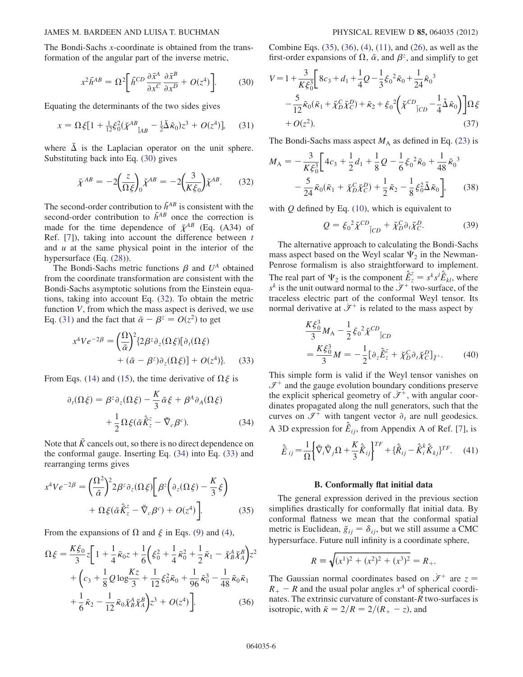<span id="page-5-0"></span>The Bondi-Sachs x-coordinate is obtained from the transformation of the angular part of the inverse metric,

$$
x^2 \bar{h}^{AB} = \Omega^2 \bigg[ \tilde{h}^{CD} \frac{\partial \bar{x}^A}{\partial x^C} \frac{\partial \bar{x}^B}{\partial x^D} + O(z^4) \bigg]. \tag{30}
$$

<span id="page-5-2"></span>Equating the determinants of the two sides gives

$$
x = \Omega \xi [1 + \frac{1}{12} \xi_0^2 (\check{\chi}^{AB})_{AB} - \frac{1}{2} \check{\Delta} \tilde{\kappa}_0) z^3 + O(z^4)], \quad (31)
$$

<span id="page-5-1"></span>where  $\check{\Delta}$  is the Laplacian operator on the unit sphere. Substituting back into Eq. ([30](#page-5-0)) gives

$$
\bar{\chi}^{AB} = -2\left(\frac{z}{\Omega\xi}\right)_0 \breve{\chi}^{AB} = -2\left(\frac{3}{K\xi_0}\right)\breve{\chi}^{AB}.\tag{32}
$$

The second-order contribution to  $\tilde{h}^{AB}$  is consistent with the second-order contribution to  $\bar{h}^{AB}$  once the correction is made for the time dependence of  $\tilde{\chi}^{AB}$  (Eq. (A34) of Ref.  $[7]$  $[7]$ ), taking into account the difference between  $t$ and  $u$  at the same physical point in the interior of the hypersurface (Eq.  $(28)$ ).

The Bondi-Sachs metric functions  $\beta$  and  $U^A$  obtained from the coordinate transformation are consistent with the Bondi-Sachs asymptotic solutions from the Einstein equations, taking into account Eq. ([32](#page-5-1)). To obtain the metric function  $V$ , from which the mass aspect is derived, we use Eq. ([31](#page-5-2)) and the fact that  $\tilde{\alpha} - \beta^z = O(z^2)$  to get

<span id="page-5-4"></span>
$$
x^4Ve^{-2\beta} = \left(\frac{\Omega}{\tilde{\alpha}}\right)^2 \{2\beta^z \partial_z(\Omega \xi) [\partial_t(\Omega \xi) + (\tilde{\alpha} - \beta^z) \partial_z(\Omega \xi)] + O(z^4)\}.
$$
 (33)

<span id="page-5-3"></span>From Eqs. [\(14\)](#page-3-4) and [\(15\)](#page-3-5), the time derivative of  $\Omega \xi$  is

$$
\partial_t(\Omega\xi) = \beta^z \partial_z(\Omega\xi) - \frac{K}{3}\tilde{\alpha}\xi + \beta^A \partial_A(\Omega\xi)
$$

$$
+ \frac{1}{2}\Omega\xi(\tilde{\alpha}\tilde{K}_z^z - \tilde{\nabla}_c\beta^c). \tag{34}
$$

<span id="page-5-5"></span>Note that  $\tilde{K}$  cancels out, so there is no direct dependence on the conformal gauge. Inserting Eq. ([34](#page-5-3)) into Eq. ([33](#page-5-4)) and rearranging terms gives

$$
x^4Ve^{-2\beta} = \left(\frac{\Omega^2}{\tilde{\alpha}}\right)^2 2\beta^z \partial_z(\Omega \xi) \left[\beta^z \left(\partial_z(\Omega \xi) - \frac{K}{3} \xi\right) + \Omega \xi (\tilde{\alpha} \tilde{K}_z^z - \tilde{\nabla}_c \beta^c) + O(z^4)\right].
$$
 (35)

<span id="page-5-6"></span>From the expansions of  $\Omega$  and  $\xi$  in Eqs. ([9](#page-3-6)) and [\(4](#page-2-1)),

$$
\Omega \xi = \frac{K\xi_0}{3} z \bigg[ 1 + \frac{1}{4} \tilde{\kappa}_0 z + \frac{1}{6} \bigg( \xi_0^2 + \frac{1}{4} \tilde{\kappa}_0^2 + \frac{1}{2} \tilde{\kappa}_1 - \check{\chi}_B^A \check{\chi}_A^B \bigg) z^2
$$

$$
+ \bigg( c_3 + \frac{1}{8} Q \log \frac{Kz}{3} + \frac{1}{12} \xi_0^2 \tilde{\kappa}_0 + \frac{1}{96} \tilde{\kappa}_0^3 - \frac{1}{48} \tilde{\kappa}_0 \tilde{\kappa}_1
$$

$$
+ \frac{1}{6} \tilde{\kappa}_2 - \frac{1}{12} \tilde{\kappa}_0 \check{\chi}_B^A \check{\chi}_A^B \bigg) z^3 + O(z^4) \bigg].
$$
 (36)

Combine Eqs. ([35](#page-5-5)), [\(36\)](#page-5-6), [\(4](#page-2-1)), ([11](#page-3-7)), and [\(26\)](#page-4-1), as well as the first-order expansions of  $\Omega$ ,  $\tilde{\alpha}$ , and  $\beta^z$ , and simplify to get

$$
V = 1 + \frac{3}{K\xi_0^3} \left[ 8c_3 + d_1 + \frac{1}{4}Q - \frac{1}{3}\xi_0^2 \tilde{\kappa}_0 + \frac{1}{24}\tilde{\kappa}_0^3 - \frac{5}{12}\tilde{\kappa}_0(\tilde{\kappa}_1 + \tilde{\chi}_D^C \tilde{\chi}_C^D) + \tilde{\kappa}_2 + \xi_0^2 \left( \tilde{\chi}^{CD}_{|CD} - \frac{1}{4}\tilde{\Delta}\tilde{\kappa}_0 \right) \right] \Omega \xi + O(z^2).
$$
\n(37)

<span id="page-5-7"></span>The Bondi-Sachs mass aspect  $M_A$  as defined in Eq. [\(23\)](#page-4-2) is

$$
M_{\rm A} = -\frac{3}{K\xi_0^3} \bigg[ 4c_3 + \frac{1}{2}d_1 + \frac{1}{8}Q - \frac{1}{6}\xi_0^2 \tilde{\kappa}_0 + \frac{1}{48}\tilde{\kappa}_0^3 -\frac{5}{24}\tilde{\kappa}_0(\tilde{\kappa}_1 + \tilde{\chi}_D^C \tilde{\chi}_C^D) + \frac{1}{2}\tilde{\kappa}_2 - \frac{1}{8}\xi_0^2 \tilde{\Delta}\tilde{\kappa}_0 \bigg],
$$
 (38)

<span id="page-5-8"></span>with  $Q$  defined by Eq. ([10](#page-3-8)), which is equivalent to

$$
Q = \xi_0^2 \chi^{CD}_{|CD} + \chi_D^C \partial_t \chi_D^D. \tag{39}
$$

The alternative approach to calculating the Bondi-Sachs mass aspect based on the Weyl scalar  $\Psi_2$  in the Newman-Penrose formalism is also straightforward to implement. The real part of  $\Psi_2$  is the component  $\hat{\vec{E}}_z^z = s^k s^l \hat{\vec{E}}_{kl}$ , where  $s^k$  is the unit outward normal to the  $\hat{\vec{F}}_1^z$  two-surface of the  $s^k$  is the unit outward normal to the  $\dot{\mathcal{F}}^+$  two-surface, of the traceless electric part of the conformal Weyl tensor. Its normal derivative at  $\mathcal{F}^+$  is related to the mass aspect by

<span id="page-5-9"></span>
$$
\frac{K\xi_0^3}{3}M_A - \frac{1}{2}\xi_0^2\chi^{CD}_{|CD} \n= \frac{K\xi_0^3}{3}M = -\frac{1}{2}[\partial_z\hat{E}_z^z + \chi_D^C\partial_t\chi_C^D]_{\dot{I}^+}.
$$
\n(40)

This simple form is valid if the Weyl tensor vanishes on  $\mathcal{I}^+$  and the gauge evolution boundary conditions preserve the explicit spherical geometry of  $\mathcal{F}^+$ , with angular coordinates propagated along the null generators, such that the curves on  $\mathcal{I}^+$  with tangent vector  $\partial_t$  are null geodesics. A 3D expression for  $\hat{\tilde{E}}_{ij}$ , from Appendix A of Ref. [[7](#page-18-3)], is

<span id="page-5-10"></span>
$$
\hat{\tilde{E}}_{ij} = \frac{1}{\Omega} \Big\{ \tilde{\nabla}_i \tilde{\nabla}_j \Omega + \frac{K}{3} \hat{\tilde{K}}_{ij} \Big\}^{TF} + \{ \hat{\tilde{R}}_{ij} - \hat{\tilde{K}}_i^k \hat{\tilde{K}}_{kj} \}^{TF}.
$$
 (41)

#### B. Conformally flat initial data

The general expression derived in the previous section simplifies drastically for conformally flat initial data. By conformal flatness we mean that the conformal spatial metric is Euclidean,  $\tilde{g}_{ij} = \delta_{ij}$ , but we still assume a CMC hypersurface. Future null infinity is a coordinate sphere,

$$
R \equiv \sqrt{(x^1)^2 + (x^2)^2 + (x^3)^2} = R_+.
$$

The Gaussian normal coordinates based on  $\mathcal{F}^+$  are  $z =$  $R_{+}$  – R and the usual polar angles  $x^{A}$  of spherical coordinates. The extrinsic curvature of constant-R two-surfaces is isotropic, with  $\tilde{\kappa} = 2/R = 2/(R_{+} - z)$ , and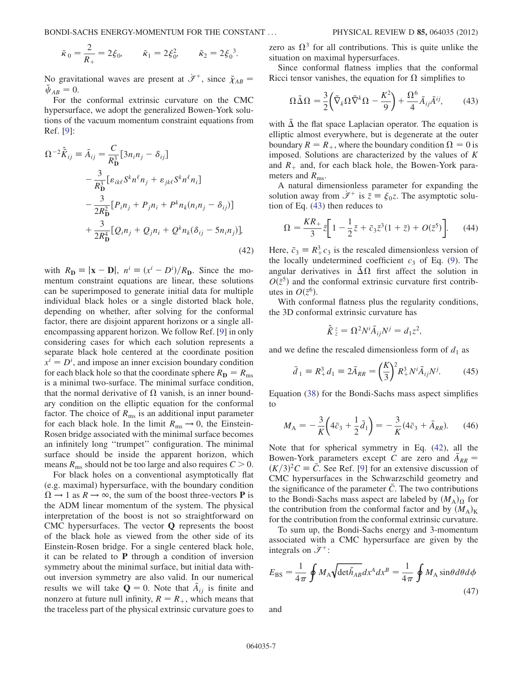$$
\tilde{\kappa}_0 = \frac{2}{R_+} = 2\xi_0, \qquad \tilde{\kappa}_1 = 2\xi_0^2, \qquad \tilde{\kappa}_2 = 2\xi_0^3.
$$

No gravitational waves are present at  $\mathcal{F}^+$ , since  $\mathcal{X}_{AB} = 0$  $\breve{\psi}_{AB} = 0.$ <br>For the

For the conformal extrinsic curvature on the CMC hypersurface, we adopt the generalized Bowen-York solutions of the vacuum momentum constraint equations from Ref. [\[9](#page-18-6)]:

<span id="page-6-1"></span>
$$
\Omega^{-2}\tilde{K}_{ij} = \tilde{A}_{ij} = \frac{C}{R_{\rm D}^3} [3n_i n_j - \delta_{ij}]
$$
  

$$
- \frac{3}{R_{\rm D}^3} [\varepsilon_{ik\ell} S^k n^{\ell} n_j + \varepsilon_{jk\ell} S^k n^{\ell} n_i]
$$
  

$$
- \frac{3}{2R_{\rm D}^2} [P_i n_j + P_j n_i + P^k n_k (n_i n_j - \delta_{ij})]
$$
  

$$
+ \frac{3}{2R_{\rm D}^4} [Q_i n_j + Q_j n_i + Q^k n_k (\delta_{ij} - 5n_i n_j)],
$$
  
(42)

with  $R_{\text{D}} \equiv |\mathbf{x} - \mathbf{D}|$ ,  $n^{i} \equiv (x^{i} - D^{i})/R_{\text{D}}$ . Since the mo-<br>mentum constraint equations are linear, these solutions mentum constraint equations are linear, these solutions can be superimposed to generate initial data for multiple individual black holes or a single distorted black hole, depending on whether, after solving for the conformal factor, there are disjoint apparent horizons or a single allencompassing apparent horizon. We follow Ref. [\[9](#page-18-6)] in only considering cases for which each solution represents a separate black hole centered at the coordinate position  $x^{i} = D^{i}$ , and impose an inner excision boundary condition<br>for each black hole so that the coordinate sphere  $R_{\text{D}} = R$ for each black hole so that the coordinate sphere  $R_{\rm D} = R_{\rm ms}$ is a minimal two-surface. The minimal surface condition, that the normal derivative of  $\Omega$  vanish, is an inner boundary condition on the elliptic equation for the conformal factor. The choice of  $R_{\text{ms}}$  is an additional input parameter for each black hole. In the limit  $R_{\text{ms}} \rightarrow 0$ , the Einstein-Rosen bridge associated with the minimal surface becomes an infinitely long ''trumpet'' configuration. The minimal surface should be inside the apparent horizon, which means  $R_{\text{ms}}$  should not be too large and also requires  $C > 0$ .

For black holes on a conventional asymptotically flat (e.g. maximal) hypersurface, with the boundary condition  $\Omega \rightarrow 1$  as  $R \rightarrow \infty$ , the sum of the boost three-vectors **P** is the ADM linear momentum of the system. The physical interpretation of the boost is not so straightforward on CMC hypersurfaces. The vector Q represents the boost of the black hole as viewed from the other side of its Einstein-Rosen bridge. For a single centered black hole, it can be related to  $P$  through a condition of inversion symmetry about the minimal surface, but initial data without inversion symmetry are also valid. In our numerical results we will take  $\mathbf{Q} = 0$ . Note that  $\overline{A}_{ij}$  is finite and nonzero at future null infinity,  $R = R_{+}$ , which means that the traceless part of the physical extrinsic curvature goes to zero as  $\Omega^3$  for all contributions. This is quite unlike the situation on maximal hypersurfaces.

<span id="page-6-0"></span>Since conformal flatness implies that the conformal Ricci tensor vanishes, the equation for  $\Omega$  simplifies to

$$
\Omega \tilde{\Delta} \Omega = \frac{3}{2} \left( \tilde{\nabla}_{k} \Omega \tilde{\nabla}^{k} \Omega - \frac{K^{2}}{9} \right) + \frac{\Omega^{6}}{4} \tilde{A}_{ij} \tilde{A}^{ij}, \tag{43}
$$

with  $\Delta$  the flat space Laplacian operator. The equation is elliptic almost everywhere, but is degenerate at the outer boundary  $R = R_+$ , where the boundary condition  $\Omega = 0$  is imposed. Solutions are characterized by the values of  $K$ and  $R_+$  and, for each black hole, the Bowen-York parameters and  $R_{\text{ms}}$ .

A natural dimensionless parameter for expanding the solution away from  $\mathcal{I}^+$  is  $\bar{z} = \xi_0 z$ . The asymptotic solution of Eq. (43) then reduces to tion of Eq. ([43](#page-6-0)) then reduces to

<span id="page-6-2"></span>
$$
\Omega = \frac{KR_+}{3}\bar{z}\bigg[1 - \frac{1}{2}\bar{z} + \bar{c}_3\bar{z}^3(1+\bar{z}) + O(\bar{z}^5)\bigg].\tag{44}
$$

Here,  $\bar{c}_3 \equiv R_+^3 c_3$  is the rescaled dimensionless version of<br>the locally undetermined coefficient  $c_3$  of Eq. (9). The the locally undetermined coefficient  $c_3$  of Eq. ([9\)](#page-3-6). The angular derivatives in  $\overline{\Delta} \Omega$  first affect the solution in  $O(\bar{z}^5)$  and the conformal extrinsic curvature first contributes in  $O(\bar{z}^6)$ utes in  $O(\bar{z}^6)$ .<br>With confo

With conformal flatness plus the regularity conditions, the 3D conformal extrinsic curvature has

$$
\hat{\tilde{K}}_z^z = \Omega^2 N^i \tilde{A}_{ij} N^j = d_1 z^2,
$$

<span id="page-6-4"></span>and we define the rescaled dimensionless form of  $d_1$  as

$$
\bar{d}_1 \equiv R_+^3 d_1 \equiv 2\bar{A}_{RR} = \left(\frac{K}{3}\right)^2 R_+^3 N^i \tilde{A}_{ij} N^j. \tag{45}
$$

<span id="page-6-3"></span>Equation ([38](#page-5-7)) for the Bondi-Sachs mass aspect simplifies to

$$
M_{\rm A} = -\frac{3}{K} \left( 4 \bar{c}_3 + \frac{1}{2} \bar{d}_1 \right) = -\frac{3}{K} (4 \bar{c}_3 + \bar{A}_{RR}). \tag{46}
$$

Note that for spherical symmetry in Eq. ([42](#page-6-1)), all the Bowen-York parameters except C are zero and  $\bar{A}_{RR}$  = Bowen-Tork parameters except C are zero and  $A_{RR} - (K/3)^2 C \equiv \bar{C}$ . See Ref. [[9](#page-18-6)] for an extensive discussion of CMC hypersurfaces in the Schwarzschild geometry and CMC hypersurfaces in the Schwarzschild geometry and the significance of the parameter  $\overline{C}$ . The two contributions to the Bondi-Sachs mass aspect are labeled by  $(M_A)_{\Omega}$  for the contribution from the conformal factor and by  $(M_A)_K$ for the contribution from the conformal extrinsic curvature.

To sum up, the Bondi-Sachs energy and 3-momentum associated with a CMC hypersurface are given by the integrals on  $\mathcal{F}^+$ :

$$
E_{\rm BS} = \frac{1}{4\pi} \oint M_{\rm A} \sqrt{\det \check{h}_{AB}} dx^A dx^B = \frac{1}{4\pi} \oint M_{\rm A} \sin\theta d\theta d\phi
$$
\n(47)

and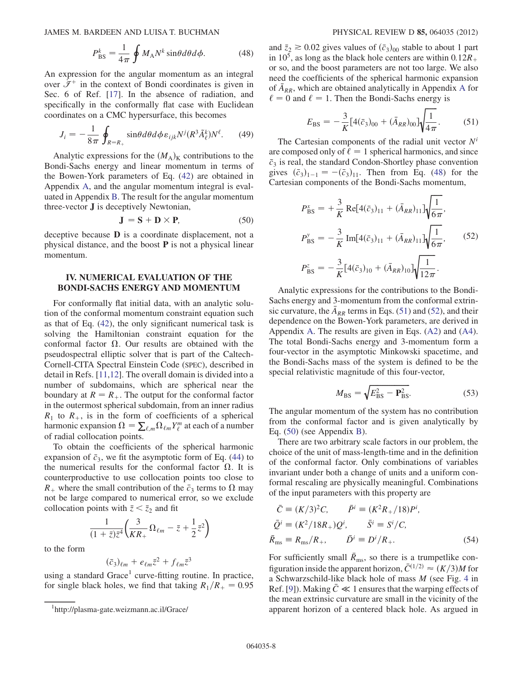$$
P_{\rm BS}^k = \frac{1}{4\pi} \oint M_{\rm A} N^k \sin\theta d\theta d\phi. \tag{48}
$$

<span id="page-7-1"></span>An expression for the angular momentum as an integral over  $\mathcal{F}^+$  in the context of Bondi coordinates is given in Sec. 6 of Ref. [[17](#page-18-14)]. In the absence of radiation, and specifically in the conformally flat case with Euclidean coordinates on a CMC hypersurface, this becomes

<span id="page-7-6"></span>
$$
J_i = -\frac{1}{8\pi} \oint_{R=R_+} \sin\theta d\theta d\phi \,\varepsilon_{ijk} N^j (R^3 \tilde{A}^k_{\ell}) N^{\ell}.
$$
 (49)

Analytic expressions for the  $(M_A)_K$  contributions to the Bondi-Sachs energy and linear momentum in terms of the Bowen-York parameters of Eq. ([42](#page-6-1)) are obtained in Appendix [A](#page-15-0), and the angular momentum integral is evaluated in Appendix [B.](#page-16-0) The result for the angular momentum three-vector J is deceptively Newtonian,

$$
\mathbf{J} = \mathbf{S} + \mathbf{D} \times \mathbf{P},\tag{50}
$$

<span id="page-7-4"></span>deceptive because  **is a coordinate displacement, not a** physical distance, and the boost P is not a physical linear momentum.

## IV. NUMERICAL EVALUATION OF THE BONDI-SACHS ENERGY AND MOMENTUM

For conformally flat initial data, with an analytic solution of the conformal momentum constraint equation such as that of Eq. ([42](#page-6-1)), the only significant numerical task is solving the Hamiltonian constraint equation for the conformal factor  $\Omega$ . Our results are obtained with the pseudospectral elliptic solver that is part of the Caltech-Cornell-CITA Spectral Einstein Code (SPEC), described in detail in Refs. [[11](#page-18-8),[12](#page-18-9)]. The overall domain is divided into a number of subdomains, which are spherical near the boundary at  $R = R_{+}$ . The output for the conformal factor in the outermost spherical subdomain, from an inner radius  $R_1$  to  $R_+$ , is in the form of coefficients of a spherical harmonic expansion  $\Omega = \sum_{\ell,m} \Omega_{\ell m} Y_{\ell}^m$  at each of a number<br>of radial collocation points of radial collocation points.

To obtain the coefficients of the spherical harmonic expansion of  $\bar{c}_3$ , we fit the asymptotic form of Eq. ([44](#page-6-2)) to the numerical results for the conformal factor  $\Omega$ . It is counterproductive to use collocation points too close to  $R_+$  where the small contribution of the  $\bar{c}_3$  terms to  $\Omega$  may not be large compared to numerical error, so we exclude collocation points with  $\bar{z} < \bar{z}_2$  and fit

$$
\frac{1}{(1+\bar{z})\bar{z}^4} \left(\frac{3}{KR_+} \Omega_{\ell m} - \bar{z} + \frac{1}{2}\bar{z}^2\right)
$$

<span id="page-7-0"></span>to the form

$$
(\bar{c}_3)_{\ell m} + e_{\ell m} \bar{z}^2 + f_{\ell m} \bar{z}^3
$$

 $(\bar{c}_3)_{\ell m} + e_{\ell m}\bar{z}^2 + f_{\ell m}\bar{z}^3$ <br>using a standard Grace<sup>1</sup> curve-fitting routine. In practice, for single black holes, we find that taking  $R_1/R_+ = 0.95$  and  $\bar{z}_2 \ge 0.02$  gives values of  $(\bar{c}_3)_{00}$  stable to about 1 part in 10<sup>5</sup>, as long as the black hole centers are within  $0.12R<sub>+</sub>$ or so, and the boost parameters are not too large. We also need the coefficients of the spherical harmonic expansion of  $\bar{A}_{RR}$  $\bar{A}_{RR}$  $\bar{A}_{RR}$ , which are obtained analytically in Appendix A for  $\ell = 0$  and  $\ell = 1$ . Then the Bondi-Sachs energy is

<span id="page-7-2"></span>
$$
E_{\rm BS} = -\frac{3}{K} [4(\bar{c}_3)_{00} + (\bar{A}_{RR})_{00}] \sqrt{\frac{1}{4\pi}}.
$$
 (51)

The Cartesian components of the radial unit vector  $N^i$ are composed only of  $\ell = 1$  spherical harmonics, and since  $\bar{c}_3$  is real, the standard Condon-Shortley phase convention gives  $(\bar{c}_3)_{1-1} = -(\bar{c}_3)_{11}$ . Then from Eq. [\(48\)](#page-7-1) for the Cartesian components of the Bondi-Sachs momentum,

<span id="page-7-3"></span>
$$
P_{\rm BS}^x = +\frac{3}{K} \operatorname{Re}[4(\bar{c}_3)_{11} + (\bar{A}_{RR})_{11}] \sqrt{\frac{1}{6\pi}},
$$
  
\n
$$
P_{\rm BS}^y = -\frac{3}{K} \operatorname{Im}[4(\bar{c}_3)_{11} + (\bar{A}_{RR})_{11}] \sqrt{\frac{1}{6\pi}}, \qquad (52)
$$
  
\n
$$
P_{\rm BS}^z = -\frac{3}{K} [4(\bar{c}_3)_{10} + (\bar{A}_{RR})_{10}] \sqrt{\frac{1}{12\pi}}.
$$

Analytic expressions for the contributions to the Bondi-Sachs energy and 3-momentum from the conformal extrinsic curvature, the  $\bar{A}_{RR}$  terms in Eqs. [\(51\)](#page-7-2) and ([52\)](#page-7-3), and their dependence on the Bowen-York parameters, are derived in Appendix [A.](#page-15-0) The results are given in Eqs. [\(A2\)](#page-16-1) and [\(A4\)](#page-16-2). The total Bondi-Sachs energy and 3-momentum form a four-vector in the asymptotic Minkowski spacetime, and the Bondi-Sachs mass of the system is defined to be the special relativistic magnitude of this four-vector,

$$
M_{\rm BS} = \sqrt{E_{\rm BS}^2 - \mathbf{P}_{\rm BS}^2}.\tag{53}
$$

<span id="page-7-5"></span>The angular momentum of the system has no contribution from the conformal factor and is given analytically by Eq. ([50](#page-7-4)) (see Appendix [B\)](#page-16-0).

There are two arbitrary scale factors in our problem, the choice of the unit of mass-length-time and in the definition of the conformal factor. Only combinations of variables invariant under both a change of units and a uniform conformal rescaling are physically meaningful. Combinations of the input parameters with this property are

$$
\bar{C} = (K/3)^2 C, \qquad \bar{P}^i = (K^2 R_+ / 18) P^i,
$$
  
\n
$$
\bar{Q}^i = (K^2 / 18R_+) Q^i, \qquad \bar{S}^i = S^i / C,
$$
  
\n
$$
\bar{R}_{\text{ms}} = R_{\text{ms}} / R_+, \qquad \bar{D}^i = D^i / R_+.
$$
\n(54)

For sufficiently small  $\bar{R}_{\text{ms}}$ , so there is a trumpetlike configuration inside the apparent horizon,  $\bar{C}^{(1/2)} \approx (K/3)M$  for a Schwarzschild-like black hole of mass  $M$  (see Fig. [4](#page-11-0) in Ref. [\[9](#page-18-6)]). Making  $\overline{C} \ll 1$  ensures that the warping effects of the mean extrinsic curvature are small in the vicinity of the apparent horizon of a centered black hole. As argued in <sup>1</sup>

http://plasma-gate.weizmann.ac.il/Grace/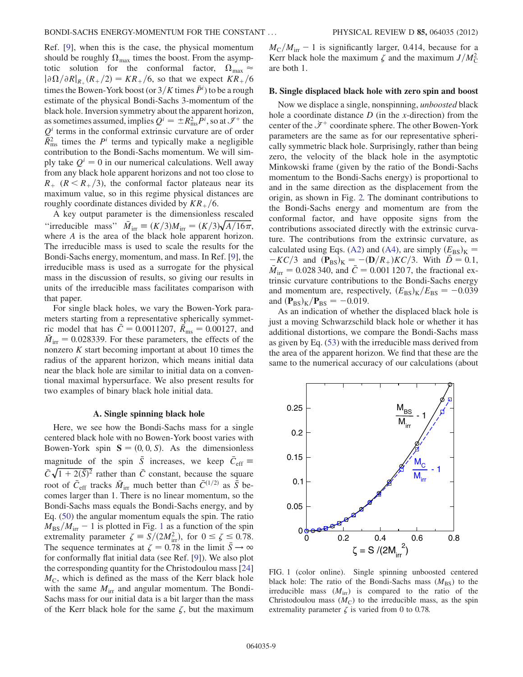Ref. [\[9\]](#page-18-6), when this is the case, the physical momentum should be roughly  $\Omega_{\text{max}}$  times the boost. From the asymptotic solution for the conformal factor,  $\Omega_{\text{max}} \approx$  $|\partial \Omega/\partial R|_{R_{+}}(R_{+}/2) = KR_{+}/6$ , so that we expect  $KR_{+}/6$ times the Bowen-York boost (or  $3/K$  times  $\bar{P}^i$ ) to be a rough estimate of the physical Bondi-Sachs 3-momentum of the black hole. Inversion symmetry about the apparent horizon, as sometimes assumed, implies  $Q^i = \pm R_{\text{ms}}^2 P^i$ , so at  $\mathcal{F}^+$  the  $Q^i$  terms in the conformal extrinsic curvature are of order  $Q<sup>i</sup>$  terms in the conformal extrinsic curvature are of order  $\bar{R}_{\text{ms}}^2$  times the  $P^i$  terms and typically make a negligible contribution to the Bondi-Sachs momentum. We will simply take  $Q^{i} = 0$  in our numerical calculations. Well away from any black hole apparent horizons and not too close to  $R_+$  ( $R < R_+/3$ ), the conformal factor plateaus near its maximum value, so in this regime physical distances are roughly coordinate distances divided by  $KR_{+}/6$ .

A key output parameter is the dimensionless rescaled "irreducible mass"  $\overline{M}_{irr} = (K/3)M_{irr} = (K/3)\sqrt{A/16\pi}$ ,<br>where A is the area of the black hole apparent horizon where A is the area of the black hole apparent horizon. The irreducible mass is used to scale the results for the Bondi-Sachs energy, momentum, and mass. In Ref. [[9\]](#page-18-6), the irreducible mass is used as a surrogate for the physical mass in the discussion of results, so giving our results in units of the irreducible mass facilitates comparison with that paper.

For single black holes, we vary the Bowen-York parameters starting from a representative spherically symmetric model that has  $\bar{C} = 0.0011207$ ,  $\bar{R}_{\text{ms}} = 0.00127$ , and  $\bar{M}$ . = 0.028339. For these parameters, the effects of the  $\overline{M}_{irr} = 0.028339$ . For these parameters, the effects of the nonzero  $K$  start becoming important at about 10 times the radius of the apparent horizon, which means initial data near the black hole are similar to initial data on a conventional maximal hypersurface. We also present results for two examples of binary black hole initial data.

### A. Single spinning black hole

<span id="page-8-1"></span>Here, we see how the Bondi-Sachs mass for a single centered black hole with no Bowen-York boost varies with Bowen-York spin  $S = (0, 0, S)$ . As the dimensionless magnitude of the spin  $\overline{S}$  increases, we keep  $\overline{C}_{\text{eff}}$ magnitude of the spin 3 increases, we keep  $C_{\text{eff}} = \bar{C}\sqrt{1 + 2(\bar{S})^2}$  rather than  $\bar{C}$  constant, because the square root of  $\bar{C}$  is tracks  $\bar{M}$ , much better than  $\bar{C}^{(1/2)}$  as  $\bar{S}$  be root of  $\bar{C}_{\text{eff}}$  tracks  $\bar{M}_{\text{irr}}$  much better than  $\bar{C}^{(1/2)}$  as  $\bar{S}$  becomes larger than 1. There is no linear momentum, so the Bondi-Sachs mass equals the Bondi-Sachs energy, and by Eq. ([50](#page-7-4)) the angular momentum equals the spin. The ratio  $M_{\rm BS}/M_{\rm irr}$  – [1](#page-8-0) is plotted in Fig. 1 as a function of the spin extremality parameter  $\zeta = S/(2M_{\text{irr}}^2)$ , for  $0 \le \zeta \le 0.78$ .<br>The sequence terminates at  $\zeta = 0.78$  in the limit  $\bar{S} \rightarrow \infty$ The sequence terminates at  $\zeta = 0.78$  in the limit  $\bar{S} \rightarrow \infty$ for conformally flat initial data (see Ref. [\[9\]](#page-18-6)). We also plot the corresponding quantity for the Christodoulou mass [\[24\]](#page-18-21)  $M_{\rm C}$ , which is defined as the mass of the Kerr black hole with the same  $M_{irr}$  and angular momentum. The Bondi-Sachs mass for our initial data is a bit larger than the mass of the Kerr black hole for the same  $\zeta$ , but the maximum  $M_{\rm C}/M_{\rm irr}$  – 1 is significantly larger, 0.414, because for a Kerr black hole the maximum  $\zeta$  and the maximum  $J/M_{\rm C}^2$ are both 1.

#### <span id="page-8-2"></span>B. Single displaced black hole with zero spin and boost

Now we displace a single, nonspinning, unboosted black hole a coordinate distance  $D$  (in the x-direction) from the center of the  $\dot{\mathcal{F}}^+$  coordinate sphere. The other Bowen-York parameters are the same as for our representative spherically symmetric black hole. Surprisingly, rather than being zero, the velocity of the black hole in the asymptotic Minkowski frame (given by the ratio of the Bondi-Sachs momentum to the Bondi-Sachs energy) is proportional to and in the same direction as the displacement from the origin, as shown in Fig. [2.](#page-9-0) The dominant contributions to the Bondi-Sachs energy and momentum are from the conformal factor, and have opposite signs from the contributions associated directly with the extrinsic curvature. The contributions from the extrinsic curvature, as calculated using Eqs. [\(A2](#page-16-1)) and ([A4\)](#page-16-2), are simply  $(E_{BS})_K$  =  $-KC/3$  and  $({\bf P}_{BS})_K = -({\bf D}/R_+)KC/3$ . With  $\bar{D} = 0.1$ ,  $\bar{M}_{irr} = 0.028340$ , and  $\bar{C} = 0.0011207$ , the fractional extrinsic curvature contributions to the Bondi-Sachs energy and momentum are, respectively,  $(E_{BS})_K/E_{BS} = -0.039$ and  $({\bf P}_{BS})_K/{\bf P}_{BS} = -0.019$ .

As an indication of whether the displaced black hole is just a moving Schwarzschild black hole or whether it has additional distortions, we compare the Bondi-Sachs mass as given by Eq. ([53](#page-7-5)) with the irreducible mass derived from the area of the apparent horizon. We find that these are the same to the numerical accuracy of our calculations (about

<span id="page-8-0"></span>

FIG. 1 (color online). Single spinning unboosted centered black hole: The ratio of the Bondi-Sachs mass  $(M_{BS})$  to the irreducible mass  $(M_{irr})$  is compared to the ratio of the Christodoulou mass  $(M<sub>C</sub>)$  to the irreducible mass, as the spin extremality parameter  $\zeta$  is varied from 0 to 0.78.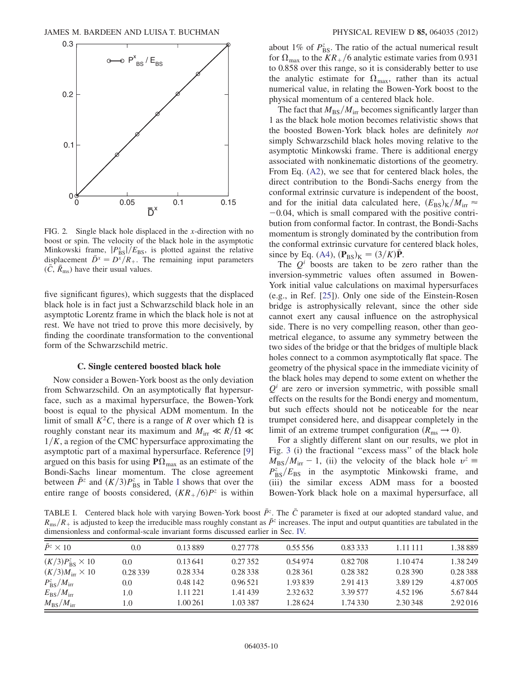<span id="page-9-0"></span>

FIG. 2. Single black hole displaced in the x-direction with no boost or spin. The velocity of the black hole in the asymptotic Minkowski frame,  $|P_{BS}^{x}|/E_{BS}$ , is plotted against the relative<br>displacement  $\bar{D}^{x} = D^{x}/R$ . The remaining input parameters displacement  $\bar{D}^x = D^x/R_+$ . The remaining input parameters  $(\bar{C}, \bar{R}_{\text{ms}})$  have their usual values.

five significant figures), which suggests that the displaced black hole is in fact just a Schwarzschild black hole in an asymptotic Lorentz frame in which the black hole is not at rest. We have not tried to prove this more decisively, by finding the coordinate transformation to the conventional form of the Schwarzschild metric.

#### C. Single centered boosted black hole

<span id="page-9-2"></span>Now consider a Bowen-York boost as the only deviation from Schwarzschild. On an asymptotically flat hypersurface, such as a maximal hypersurface, the Bowen-York boost is equal to the physical ADM momentum. In the limit of small  $K^2C$ , there is a range of R over which  $\Omega$  is roughly constant near its maximum and  $M_{irr} \ll R/\Omega \ll$  $1/K$ , a region of the CMC hypersurface approximating the asymptotic part of a maximal hypersurface. Reference [\[9\]](#page-18-6) argued on this basis for using  $\mathbf{P}\Omega_{\text{max}}$  as an estimate of the Bondi-Sachs linear momentum. The close agreement between  $\bar{P}^z$  and  $(K/3)P_{BS}^z$  in Table [I](#page-9-1) shows that over the entire range of boosts considered  $(KR, \angle)$  (6)  $P^z$  is within entire range of boosts considered,  $(KR<sub>+</sub>/6)P<sup>z</sup>$  is within

about 1% of  $P_{\text{BS}}^z$ . The ratio of the actual numerical result for  $\Omega_{\text{max}}$  to the  $KR_{+}/6$  analytic estimate varies from 0.931 to 0.858 over this range, so it is considerably better to use the analytic estimate for  $\Omega_{\text{max}}$ , rather than its actual numerical value, in relating the Bowen-York boost to the physical momentum of a centered black hole.

The fact that  $M_{\rm BS}/M_{\rm irr}$  becomes significantly larger than 1 as the black hole motion becomes relativistic shows that the boosted Bowen-York black holes are definitely not simply Schwarzschild black holes moving relative to the asymptotic Minkowski frame. There is additional energy associated with nonkinematic distortions of the geometry. From Eq. ([A2](#page-16-1)), we see that for centered black holes, the direct contribution to the Bondi-Sachs energy from the conformal extrinsic curvature is independent of the boost, and for the initial data calculated here,  $(E_{BS})_K/M_{irr} \approx$  $-0.04$ , which is small compared with the positive contribution from conformal factor. In contrast, the Bondi-Sachs momentum is strongly dominated by the contribution from the conformal extrinsic curvature for centered black holes, since by Eq. ([A4\)](#page-16-2),  $(\mathbf{P}_{\text{BS}})_{\text{K}} = (3/K)\bar{\mathbf{P}}$ .

The  $Q<sup>i</sup>$  boosts are taken to be zero rather than the inversion-symmetric values often assumed in Bowen-York initial value calculations on maximal hypersurfaces (e.g., in Ref. [[25](#page-18-22)]). Only one side of the Einstein-Rosen bridge is astrophysically relevant, since the other side cannot exert any causal influence on the astrophysical side. There is no very compelling reason, other than geometrical elegance, to assume any symmetry between the two sides of the bridge or that the bridges of multiple black holes connect to a common asymptotically flat space. The geometry of the physical space in the immediate vicinity of the black holes may depend to some extent on whether the  $Q<sup>i</sup>$  are zero or inversion symmetric, with possible small effects on the results for the Bondi energy and momentum, but such effects should not be noticeable for the near trumpet considered here, and disappear completely in the limit of an extreme trumpet configuration  $(R_{\text{ms}} \rightarrow 0)$ .

For a slightly different slant on our results, we plot in Fig. [3](#page-10-0) (i) the fractional ''excess mass'' of the black hole  $M_{\rm BS}/M_{\rm irr} - 1$ , (ii) the velocity of the black hole  $v^z \equiv P^z / F_{\rm iso}$  in the asymptotic Minkowski frame and  $P_{\text{BS}}^{z}/E_{\text{BS}}$  in the asymptotic Minkowski frame, and (iii) the similar excess ADM mass for a boosted Bowen-York black hole on a maximal hypersurface, all

<span id="page-9-1"></span>TABLE I. Centered black hole with varying Bowen-York boost  $\bar{P}^z$ . The  $\bar{C}$  parameter is fixed at our adopted standard value, and  $R_{\rm ms}/R_{\rm +}$  is adjusted to keep the irreducible mass roughly constant as  $\bar{P}^z$  increases. The input and output quantities are tabulated in the dimensionless and conformal-scale invariant forms discussed earlier in Sec. [IV.](#page-7-0)

| $\bar{P}^z \times 10$         | 0.0           | 0.13889  | 0.27 778 | 0.55556  | 0.83333  | 1.11 111 | 1.38889 |
|-------------------------------|---------------|----------|----------|----------|----------|----------|---------|
| $(K/3)P_{\rm RS}^z \times 10$ | $0.0^{\circ}$ | 0.13641  | 0.27 352 | 0.54974  | 0.82708  | 1.10474  | 1.38249 |
| $(K/3)M_{irr} \times 10$      | 0.28339       | 0.28334  | 0.28 338 | 0.28 361 | 0.28382  | 0.28390  | 0.28388 |
| $P_{\rm BS}^z/M_{\rm irr}$    | 0.0           | 0.48 142 | 0.96.521 | 1.93839  | 2.91413  | 3.89129  | 4.87005 |
| $E_{\rm BS}/M_{\rm irr}$      | 1.0           | 1.11221  | 1.41439  | 2.32632  | 3.39.577 | 4.52196  | 5.67844 |
| $M_{\rm BS}/M_{\rm irr}$      | 1.0           | 1.00 261 | 1.03.387 | 1.28624  | 1.74330  | 2.30348  | 2.92016 |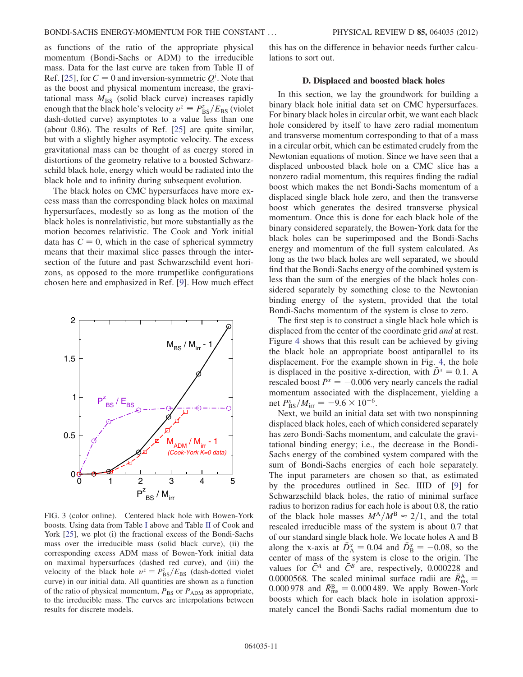as functions of the ratio of the appropriate physical momentum (Bondi-Sachs or ADM) to the irreducible mass. Data for the last curve are taken from Table II of Ref. [\[25\]](#page-18-22), for  $C = 0$  and inversion-symmetric  $Q<sup>i</sup>$ . Note that as the boost and physical momentum increase the gravias the boost and physical momentum increase, the gravitational mass  $M_{BS}$  (solid black curve) increases rapidly enough that the black hole's velocity  $v^z = P_{BS}^z/E_{BS}$  (violet dash-dotted curve) asymptotes to a value less than one dash-dotted curve) asymptotes to a value less than one (about 0.86). The results of Ref. [[25](#page-18-22)] are quite similar, but with a slightly higher asymptotic velocity. The excess gravitational mass can be thought of as energy stored in distortions of the geometry relative to a boosted Schwarzschild black hole, energy which would be radiated into the black hole and to infinity during subsequent evolution.

The black holes on CMC hypersurfaces have more excess mass than the corresponding black holes on maximal hypersurfaces, modestly so as long as the motion of the black holes is nonrelativistic, but more substantially as the motion becomes relativistic. The Cook and York initial data has  $C = 0$ , which in the case of spherical symmetry means that their maximal slice passes through the intersection of the future and past Schwarzschild event horizons, as opposed to the more trumpetlike configurations chosen here and emphasized in Ref. [\[9](#page-18-6)]. How much effect

<span id="page-10-0"></span>

FIG. 3 (color online). Centered black hole with Bowen-York boosts. Using data from Table [I](#page-9-1) above and Table [II](#page-11-1) of Cook and York [[25](#page-18-22)], we plot (i) the fractional excess of the Bondi-Sachs mass over the irreducible mass (solid black curve), (ii) the corresponding excess ADM mass of Bowen-York initial data on maximal hypersurfaces (dashed red curve), and (iii) the velocity of the black hole  $v^z = P_{BS}^z/E_{BS}$  (dash-dotted violet curve) in our initial data. All quantities are shown as a function curve) in our initial data. All quantities are shown as a function of the ratio of physical momentum,  $P_{BS}$  or  $P_{ADM}$  as appropriate, to the irreducible mass. The curves are interpolations between results for discrete models.

this has on the difference in behavior needs further calculations to sort out.

### D. Displaced and boosted black holes

<span id="page-10-1"></span>In this section, we lay the groundwork for building a binary black hole initial data set on CMC hypersurfaces. For binary black holes in circular orbit, we want each black hole considered by itself to have zero radial momentum and transverse momentum corresponding to that of a mass in a circular orbit, which can be estimated crudely from the Newtonian equations of motion. Since we have seen that a displaced unboosted black hole on a CMC slice has a nonzero radial momentum, this requires finding the radial boost which makes the net Bondi-Sachs momentum of a displaced single black hole zero, and then the transverse boost which generates the desired transverse physical momentum. Once this is done for each black hole of the binary considered separately, the Bowen-York data for the black holes can be superimposed and the Bondi-Sachs energy and momentum of the full system calculated. As long as the two black holes are well separated, we should find that the Bondi-Sachs energy of the combined system is less than the sum of the energies of the black holes considered separately by something close to the Newtonian binding energy of the system, provided that the total Bondi-Sachs momentum of the system is close to zero.

The first step is to construct a single black hole which is displaced from the center of the coordinate grid *and* at rest. Figure [4](#page-11-0) shows that this result can be achieved by giving the black hole an appropriate boost antiparallel to its displacement. For the example shown in Fig. [4,](#page-11-0) the hole is displaced in the positive x-direction, with  $\bar{D}^x = 0.1$ . A rescaled boost  $\bar{P}^x = -0.006$  very nearly cancels the radial momentum associated with the displacement, yielding a net  $P_{\rm BS}^x/M_{\rm irr} = -9.6 \times 10^{-6}$ .<br>Next, we build an initial da

Next, we build an initial data set with two nonspinning displaced black holes, each of which considered separately has zero Bondi-Sachs momentum, and calculate the gravitational binding energy; i.e., the decrease in the Bondi-Sachs energy of the combined system compared with the sum of Bondi-Sachs energies of each hole separately. The input parameters are chosen so that, as estimated by the procedures outlined in Sec. IIID of [[9](#page-18-6)] for Schwarzschild black holes, the ratio of minimal surface radius to horizon radius for each hole is about 0.8, the ratio of the black hole masses  $M^A/M^B \approx 2/1$ , and the total rescaled irreducible mass of the system is about 0.7 that of our standard single black hole. We locate holes A and B along the x-axis at  $\bar{D}_{\rm A}^x = 0.04$  and  $\bar{D}_{\rm B}^x = -0.08$ , so the center of mass of the system is close to the origin. The center of mass of the system is close to the origin. The values for  $\bar{C}^A$  and  $\bar{C}^B$  are, respectively, 0.000228 and 0.0000568. The scaled minimal surface radii are  $\bar{R}_{\text{ms}}^{\text{A}}$  = 0.0000006. The scaled infinitial surface radii are  $R_{\text{ms}} = 0.000978$  and  $\bar{R}_{\text{ms}}^{\text{B}} = 0.000489$ . We apply Bowen-York hoosts which for each black hole in isolation approxiboosts which for each black hole in isolation approximately cancel the Bondi-Sachs radial momentum due to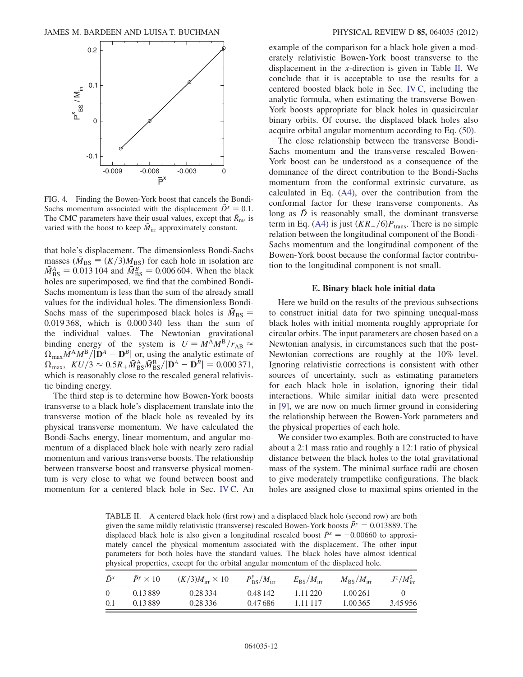<span id="page-11-0"></span>

FIG. 4. Finding the Bowen-York boost that cancels the Bondi-Sachs momentum associated with the displacement  $\bar{D}^x = 0.1$ . The CMC parameters have their usual values, except that  $\bar{R}_{\text{ms}}$  is varied with the boost to keep  $\bar{M}_{irr}$  approximately constant.

that hole's displacement. The dimensionless Bondi-Sachs masses ( $\overline{M}_{\rm BS} = (K/3)M_{\rm BS}$ ) for each hole in isolation are  $\overline{M}_{\rm BS}^A = 0.013$  104 and  $\overline{M}_{\rm BS}^B = 0.006$  604. When the black holes are superimposed we find that the combined Bondiholes are superimposed, we find that the combined Bondi-Sachs momentum is less than the sum of the already small values for the individual holes. The dimensionless Bondi-Sachs mass of the superimposed black holes is  $\bar{M}_{BS}$  = 0:019 368, which is 0.000 340 less than the sum of the individual values. The Newtonian gravitational binding energy of the system is  $U = M^{A}M^{B}/r_{AB} \approx$ <br>O  $M^{A}M^{B}/\mathbf{D}^{A} - \mathbf{D}^{B}$  or using the analytic estimate of  $\Omega_{\text{max}}M^A M^B / |\mathbf{D}^A - \mathbf{D}^B|$  or, using the analytic estimate of<br>O  $K I / 3 \approx 0.5 R$ ,  $\overline{M}^A - \overline{M}^B$ ,  $/|\overline{D}^A - \overline{D}^B| = 0.000371$  $\Omega_{\text{max}}$ ,  $KU/3 \approx 0.5R_{+} \bar{M}_{\text{BS}}^{\text{A}} \bar{M}_{\text{BS}}^{\text{B}} / |\bar{D}^{A} - \bar{D}^{B}| = 0.000371$ ,<br>which is reasonably close to the rescaled general relativiswhich is reasonably close to the rescaled general relativistic binding energy.

The third step is to determine how Bowen-York boosts transverse to a black hole's displacement translate into the transverse motion of the black hole as revealed by its physical transverse momentum. We have calculated the Bondi-Sachs energy, linear momentum, and angular momentum of a displaced black hole with nearly zero radial momentum and various transverse boosts. The relationship between transverse boost and transverse physical momentum is very close to what we found between boost and momentum for a centered black hole in Sec. [IV C.](#page-9-2) An example of the comparison for a black hole given a moderately relativistic Bowen-York boost transverse to the displacement in the  $x$ -direction is given in Table [II](#page-11-1). We conclude that it is acceptable to use the results for a centered boosted black hole in Sec. [IV C](#page-9-2), including the analytic formula, when estimating the transverse Bowen-York boosts appropriate for black holes in quasicircular binary orbits. Of course, the displaced black holes also acquire orbital angular momentum according to Eq. [\(50\)](#page-7-4).

The close relationship between the transverse Bondi-Sachs momentum and the transverse rescaled Bowen-York boost can be understood as a consequence of the dominance of the direct contribution to the Bondi-Sachs momentum from the conformal extrinsic curvature, as calculated in Eq. [\(A4](#page-16-2)), over the contribution from the conformal factor for these transverse components. As long as D is reasonably small, the dominant transverse term in Eq. ([A4](#page-16-2)) is just  $(KR_{+}/6)P_{trans}$ . There is no simple relation between the longitudinal component of the Bondi-Sachs momentum and the longitudinal component of the Bowen-York boost because the conformal factor contribution to the longitudinal component is not small.

#### E. Binary black hole initial data

Here we build on the results of the previous subsections to construct initial data for two spinning unequal-mass black holes with initial momenta roughly appropriate for circular orbits. The input parameters are chosen based on a Newtonian analysis, in circumstances such that the post-Newtonian corrections are roughly at the 10% level. Ignoring relativistic corrections is consistent with other sources of uncertainty, such as estimating parameters for each black hole in isolation, ignoring their tidal interactions. While similar initial data were presented in [[9](#page-18-6)], we are now on much firmer ground in considering the relationship between the Bowen-York parameters and the physical properties of each hole.

We consider two examples. Both are constructed to have about a 2:1 mass ratio and roughly a 12:1 ratio of physical distance between the black holes to the total gravitational mass of the system. The minimal surface radii are chosen to give moderately trumpetlike configurations. The black holes are assigned close to maximal spins oriented in the

<span id="page-11-1"></span>TABLE II. A centered black hole (first row) and a displaced black hole (second row) are both given the same mildly relativistic (transverse) rescaled Bowen-York boosts  $\bar{P}$ <sup>y</sup> = 0.013889. The displaced black hole is also given a longitudinal rescaled boost  $\bar{P}^x = -0.00660$  to approximately cancel the physical momentum associated with the displacement. The other input parameters for both holes have the standard values. The black holes have almost identical physical properties, except for the orbital angular momentum of the displaced hole.

| $\bar{D}^x$ | $Py \times 10$ | $(K/3)M_{irr} \times 10$ | $P_{\rm BS}^{\rm y}/M_{\rm irr}$ | $E_{\rm BS}/M_{\rm irr}$ | $M_{\rm BS}/M_{\rm irr}$ | $J^z/M_{\rm irr}^2$ |
|-------------|----------------|--------------------------|----------------------------------|--------------------------|--------------------------|---------------------|
| $\Omega$    | 0.13889        | 0.28 334                 | 0.48 142                         | 1.11220                  | 1.00261                  |                     |
| 0.1         | 0.13889        | 0.28 336                 | 0.47.686                         | 1.11 117                 | 1.00365                  | 3.45956             |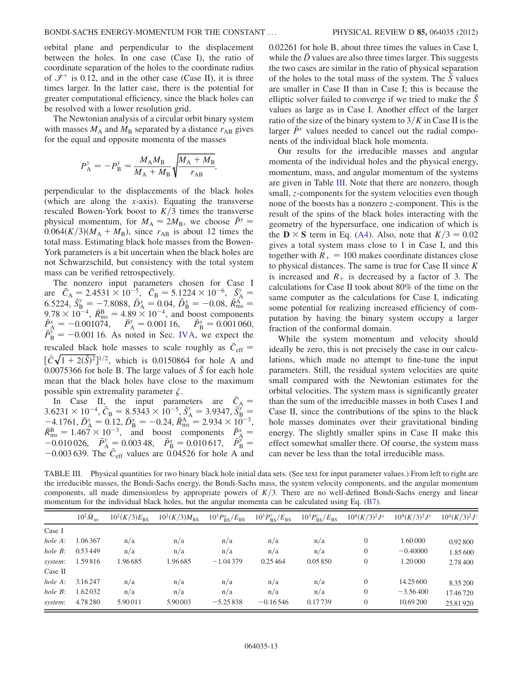orbital plane and perpendicular to the displacement between the holes. In one case (Case I), the ratio of coordinate separation of the holes to the coordinate radius of  $\mathcal{I}^+$  is 0.12, and in the other case (Case II), it is three times larger. In the latter case, there is the potential for greater computational efficiency, since the black holes can be resolved with a lower resolution grid.

The Newtonian analysis of a circular orbit binary system with masses  $M_A$  and  $M_B$  separated by a distance  $r_{AB}$  gives for the equal and opposite momenta of the masses

$$
P_{\rm A}^{\rm y} = -P_{\rm B}^{\rm y} = \frac{M_{\rm A}M_{\rm B}}{M_{\rm A} + M_{\rm B}} \sqrt{\frac{M_{\rm A} + M_{\rm B}}{r_{\rm AB}}},
$$

perpendicular to the displacements of the black holes (which are along the x-axis). Equating the transverse rescaled Bowen-York boost to  $K/3$  times the transverse physical momentum, for  $M_A \approx 2M_B$ , we choose  $\bar{P}^y =$  $0.064(K/3)(M_A + M_B)$ , since  $r_{AB}$  is about 12 times the total mass. Estimating black hole masses from the Bowen-York parameters is a bit uncertain when the black holes are not Schwarzschild, but consistency with the total system mass can be verified retrospectively.

The nonzero input parameters chosen for Case I are  $\bar{C}_{A} = 2.4531 \times 10^{-5}$ ,  $\bar{C}_{B} = 5.1224 \times 10^{-6}$ ,  $\bar{S}_{A}^{y} = 6.5224$ ,  $\bar{S}_{B}^{y} = -7.8088$ ,  $\bar{D}_{A}^{x} = 0.04$ ,  $\bar{D}_{B}^{x} = -0.08$ ,  $\bar{R}_{ms}^{A} = 9.78 \times 10^{-4}$ ,  $\bar{R}_{ms}^{B} = 4.89 \times 10^{-4}$ , and boost components  $\$ rescaled black hole masses to scale roughly as  $\bar{C}_{\text{eff}} =$  $\left[ \bar{C} \sqrt{1 + 2(\bar{S})^2} \right]^{1/2}$ , which is 0.0150864 for hole A and 0.0075366 for hole B. The large values of  $\bar{S}$  for each hole 0.0075366 for hole B. The large values of  $\overline{S}$  for each hole mean that the black holes have close to the maximum possible spin extremality parameter  $\zeta$ .

In Case II, the input parameters are  $\bar{C}_{\text{A}} = 3.6231 \times 10^{-4}$ ,  $\bar{C}_{\text{B}} = 8.5343 \times 10^{-5}$ ,  $\bar{S}_{\text{A}}^{\text{y}} = 3.9347$ ,  $\bar{S}_{\text{B}}^{\text{y}} = -4.1761$ ,  $\bar{D}_{\text{A}}^{\text{x}} = 0.12$ ,  $\bar{D}_{\text{B}}^{\text{x}} = -0.24$ ,  $\bar{R}_{\text{ms}}^{\text{A}} =$ 

0.02261 for hole B, about three times the values in Case I, while the D values are also three times larger. This suggests the two cases are similar in the ratio of physical separation of the holes to the total mass of the system. The  $\bar{S}$  values are smaller in Case II than in Case I; this is because the elliptic solver failed to converge if we tried to make the  $\bar{S}$ values as large as in Case I. Another effect of the larger ratio of the size of the binary system to  $3/K$  in Case II is the larger  $\bar{P}^x$  values needed to cancel out the radial components of the individual black hole momenta.

Our results for the irreducible masses and angular momenta of the individual holes and the physical energy, momentum, mass, and angular momentum of the systems are given in Table [III](#page-12-0). Note that there are nonzero, though small, *z*-components for the system velocities even though none of the boosts has a nonzero z-component. This is the result of the spins of the black holes interacting with the geometry of the hypersurface, one indication of which is the  $\mathbf{D} \times \mathbf{S}$  term in Eq. ([A4\)](#page-16-2). Also, note that  $K/3 = 0.02$ gives a total system mass close to 1 in Case I, and this together with  $R_+ = 100$  makes coordinate distances close to physical distances. The same is true for Case II since  $K$ is increased and  $R_+$  is decreased by a factor of 3. The calculations for Case II took about 80% of the time on the same computer as the calculations for Case I, indicating some potential for realizing increased efficiency of computation by having the binary system occupy a larger fraction of the conformal domain.

While the system momentum and velocity should ideally be zero, this is not precisely the case in our calculations, which made no attempt to fine-tune the input parameters. Still, the residual system velocities are quite small compared with the Newtonian estimates for the orbital velocities. The system mass is significantly greater than the sum of the irreducible masses in both Cases I and Case II, since the contributions of the spins to the black hole masses dominates over their gravitational binding energy. The slightly smaller spins in Case II make this effect somewhat smaller there. Of course, the system mass can never be less than the total irreducible mass.

<span id="page-12-0"></span>TABLE III. Physical quantities for two binary black hole initial data sets. (See text for input parameter values.) From left to right are the irreducible masses, the Bondi-Sachs energy, the Bondi-Sachs mass, the system velocity components, and the angular momentum components, all made dimensionless by appropriate powers of  $K/3$ . There are no well-defined Bondi-Sachs energy and linear momentum for the individual black holes, but the angular momenta can be calculated using Eq. ([B7\)](#page-17-0).

|              | $10^2 \bar{M}_{\rm irr}$ | $10^2(K/3)E_{BS}$ | $10^2 (K/3) M_{\rm BS}$ | $10^3 P_{\rm \scriptscriptstyle RS}^x/E_{\rm \scriptscriptstyle RS}$ | $10^3 P_{\rm \scriptscriptstyle RS}^{\rm y}/E_{\rm \scriptscriptstyle RS}$ | $10^3 P_{\rm BS}^z/E_{\rm BS}$ | $10^4 (K/3)^2 J^x$ | $10^4 (K/3)^2 J^y$ | $10^4 (K/3)^2 J^z$ |
|--------------|--------------------------|-------------------|-------------------------|----------------------------------------------------------------------|----------------------------------------------------------------------------|--------------------------------|--------------------|--------------------|--------------------|
| Case I       |                          |                   |                         |                                                                      |                                                                            |                                |                    |                    |                    |
| hole A:      | 1.06.367                 | n/a               | n/a                     | n/a                                                                  | n/a                                                                        | n/a                            | $\theta$           | 1.60000            | 0.92 800           |
| $hole$ $B$ : | 0.53 449                 | n/a               | n/a                     | n/a                                                                  | n/a                                                                        | n/a                            | $\theta$           | $-0.40000$         | 1.85 600           |
| system:      | 1.59816                  | 1.96685           | 1.96 685                | $-1.04379$                                                           | 0.25464                                                                    | 0.05 850                       | $\theta$           | 1.20000            | 2.78400            |
| Case II      |                          |                   |                         |                                                                      |                                                                            |                                |                    |                    |                    |
| hole A:      | 3.16.247                 | n/a               | n/a                     | n/a                                                                  | n/a                                                                        | n/a                            | $\theta$           | 14.25 600          | 8.35 200           |
| $hole$ $B$ : | 1.62032                  | n/a               | n/a                     | n/a                                                                  | n/a                                                                        | n/a                            | $\theta$           | $-3.56400$         | 17.46720           |
| system:      | 4.78 280                 | 5.90011           | 5.90003                 | $-5.25838$                                                           | $-0.16546$                                                                 | 0.17739                        | $\Omega$           | 10.69 200          | 25.81920           |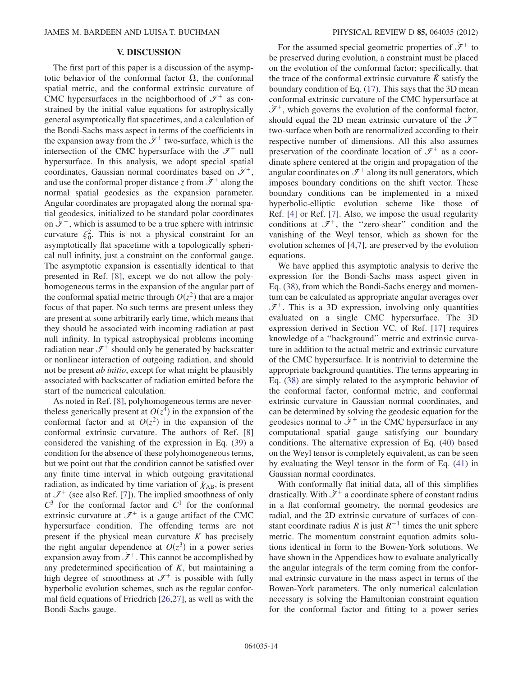## V. DISCUSSION

<span id="page-13-0"></span>The first part of this paper is a discussion of the asymptotic behavior of the conformal factor  $\Omega$ , the conformal spatial metric, and the conformal extrinsic curvature of CMC hypersurfaces in the neighborhood of  $\mathcal{I}^+$  as constrained by the initial value equations for astrophysically general asymptotically flat spacetimes, and a calculation of the Bondi-Sachs mass aspect in terms of the coefficients in the expansion away from the  $\dot{\mathcal{F}}^+$  two-surface, which is the intersection of the CMC hypersurface with the  $\mathcal{I}^+$  null hypersurface. In this analysis, we adopt special spatial coordinates, Gaussian normal coordinates based on  $\mathcal{F}^+$ , and use the conformal proper distance z from  $\mathcal{I}^+$  along the normal spatial geodesics as the expansion parameter. Angular coordinates are propagated along the normal spatial geodesics, initialized to be standard polar coordinates on  $\mathcal{I}^+$ , which is assumed to be a true sphere with intrinsic curvature  $\xi_0^2$ . This is not a physical constraint for an asymptotically flat spacetime with a topologically spherical null infinity, just a constraint on the conformal gauge. The asymptotic expansion is essentially identical to that presented in Ref. [\[8\]](#page-18-5), except we do not allow the polyhomogeneous terms in the expansion of the angular part of the conformal spatial metric through  $O(z^2)$  that are a major focus of that paper. No such terms are present unless they are present at some arbitrarily early time, which means that they should be associated with incoming radiation at past null infinity. In typical astrophysical problems incoming radiation near  $\mathcal{I}^+$  should only be generated by backscatter or nonlinear interaction of outgoing radiation, and should not be present ab initio, except for what might be plausibly associated with backscatter of radiation emitted before the start of the numerical calculation.

As noted in Ref. [[8\]](#page-18-5), polyhomogeneous terms are nevertheless generically present at  $O(z^4)$  in the expansion of the conformal factor and at  $O(z^2)$  in the expansion of the conformal extrinsic curvature. The authors of Ref. [\[8\]](#page-18-5) considered the vanishing of the expression in Eq. [\(39\)](#page-5-8) a condition for the absence of these polyhomogeneous terms, but we point out that the condition cannot be satisfied over any finite time interval in which outgoing gravitational radiation, as indicated by time variation of  $\ddot{\chi}_{AB}$ , is present at  $\mathcal{I}^+$  (see also Ref. [\[7](#page-18-3)]). The implied smoothness of only  $C<sup>3</sup>$  for the conformal factor and  $C<sup>1</sup>$  for the conformal extrinsic curvature at  $\mathcal{I}^+$  is a gauge artifact of the CMC hypersurface condition. The offending terms are not present if the physical mean curvature  $K$  has precisely the right angular dependence at  $O(z^3)$  in a power series expansion away from  $\mathcal{I}^+$ . This cannot be accomplished by any predetermined specification of  $K$ , but maintaining a high degree of smoothness at  $\mathcal{I}^+$  is possible with fully hyperbolic evolution schemes, such as the regular conformal field equations of Friedrich [[26](#page-18-23),[27](#page-18-24)], as well as with the Bondi-Sachs gauge.

For the assumed special geometric properties of  $\mathcal{F}^+$  to be preserved during evolution, a constraint must be placed on the evolution of the conformal factor; specifically, that the trace of the conformal extrinsic curvature  $\tilde{K}$  satisfy the boundary condition of Eq. [\(17\)](#page-3-3). This says that the 3D mean conformal extrinsic curvature of the CMC hypersurface at  $\mathcal{I}^+$ , which governs the evolution of the conformal factor, should equal the 2D mean extrinsic curvature of the  $\mathcal{I}^+$ two-surface when both are renormalized according to their respective number of dimensions. All this also assumes preservation of the coordinate location of  $\mathcal{I}^+$  as a coordinate sphere centered at the origin and propagation of the angular coordinates on  $\mathcal{I}^+$  along its null generators, which imposes boundary conditions on the shift vector. These boundary conditions can be implemented in a mixed hyperbolic-elliptic evolution scheme like those of Ref. [[4\]](#page-18-4) or Ref. [\[7](#page-18-3)]. Also, we impose the usual regularity conditions at  $\mathcal{I}^+$ , the "zero-shear" condition and the vanishing of the Weyl tensor, which as shown for the evolution schemes of [[4](#page-18-4)[,7\]](#page-18-3), are preserved by the evolution equations.

We have applied this asymptotic analysis to derive the expression for the Bondi-Sachs mass aspect given in Eq. [\(38\)](#page-5-7), from which the Bondi-Sachs energy and momentum can be calculated as appropriate angular averages over  $\mathcal{I}^+$ . This is a 3D expression, involving only quantities evaluated on a single CMC hypersurface. The 3D expression derived in Section VC. of Ref. [[17](#page-18-14)] requires knowledge of a ''background'' metric and extrinsic curvature in addition to the actual metric and extrinsic curvature of the CMC hypersurface. It is nontrivial to determine the appropriate background quantities. The terms appearing in Eq. [\(38\)](#page-5-7) are simply related to the asymptotic behavior of the conformal factor, conformal metric, and conformal extrinsic curvature in Gaussian normal coordinates, and can be determined by solving the geodesic equation for the geodesics normal to  $\mathcal{F}^+$  in the CMC hypersurface in any computational spatial gauge satisfying our boundary conditions. The alternative expression of Eq. [\(40](#page-5-9)) based on the Weyl tensor is completely equivalent, as can be seen by evaluating the Weyl tensor in the form of Eq. [\(41\)](#page-5-10) in Gaussian normal coordinates.

With conformally flat initial data, all of this simplifies drastically. With  $\mathcal{I}^+$  a coordinate sphere of constant radius in a flat conformal geometry, the normal geodesics are radial, and the 2D extrinsic curvature of surfaces of constant coordinate radius R is just  $R^{-1}$  times the unit sphere metric. The momentum constraint equation admits solutions identical in form to the Bowen-York solutions. We have shown in the Appendices how to evaluate analytically the angular integrals of the term coming from the conformal extrinsic curvature in the mass aspect in terms of the Bowen-York parameters. The only numerical calculation necessary is solving the Hamiltonian constraint equation for the conformal factor and fitting to a power series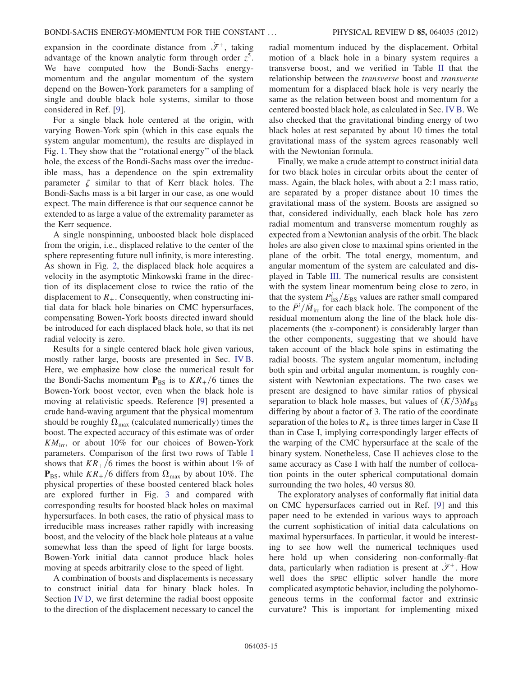expansion in the coordinate distance from  $\mathcal{I}^+$ , taking advantage of the known analytic form through order  $z^5$ . We have computed how the Bondi-Sachs energymomentum and the angular momentum of the system depend on the Bowen-York parameters for a sampling of single and double black hole systems, similar to those considered in Ref. [[9](#page-18-6)].

For a single black hole centered at the origin, with varying Bowen-York spin (which in this case equals the system angular momentum), the results are displayed in Fig. [1](#page-8-0). They show that the ''rotational energy'' of the black hole, the excess of the Bondi-Sachs mass over the irreducible mass, has a dependence on the spin extremality parameter  $\zeta$  similar to that of Kerr black holes. The Bondi-Sachs mass is a bit larger in our case, as one would expect. The main difference is that our sequence cannot be extended to as large a value of the extremality parameter as the Kerr sequence.

A single nonspinning, unboosted black hole displaced from the origin, i.e., displaced relative to the center of the sphere representing future null infinity, is more interesting. As shown in Fig. [2,](#page-9-0) the displaced black hole acquires a velocity in the asymptotic Minkowski frame in the direction of its displacement close to twice the ratio of the displacement to  $R_{+}$ . Consequently, when constructing initial data for black hole binaries on CMC hypersurfaces, compensating Bowen-York boosts directed inward should be introduced for each displaced black hole, so that its net radial velocity is zero.

Results for a single centered black hole given various, mostly rather large, boosts are presented in Sec. [IV B](#page-8-2). Here, we emphasize how close the numerical result for the Bondi-Sachs momentum  $P_{BS}$  is to  $KR_{+}/6$  times the Bowen-York boost vector, even when the black hole is moving at relativistic speeds. Reference [[9\]](#page-18-6) presented a crude hand-waving argument that the physical momentum should be roughly  $\Omega_{\text{max}}$  (calculated numerically) times the boost. The expected accuracy of this estimate was of order  $KM_{irr}$ , or about 10% for our choices of Bowen-York parameters. Comparison of the first two rows of Table [I](#page-9-1) shows that  $KR_{+}/6$  times the boost is within about 1% of  $P_{BS}$ , while  $KR_{+}/6$  differs from  $\Omega_{max}$  by about 10%. The physical properties of these boosted centered black holes are explored further in Fig. [3](#page-10-0) and compared with corresponding results for boosted black holes on maximal hypersurfaces. In both cases, the ratio of physical mass to irreducible mass increases rather rapidly with increasing boost, and the velocity of the black hole plateaus at a value somewhat less than the speed of light for large boosts. Bowen-York initial data cannot produce black holes moving at speeds arbitrarily close to the speed of light.

A combination of boosts and displacements is necessary to construct initial data for binary black holes. In Section [IV D,](#page-10-1) we first determine the radial boost opposite to the direction of the displacement necessary to cancel the radial momentum induced by the displacement. Orbital motion of a black hole in a binary system requires a transverse boost, and we verified in Table [II](#page-11-1) that the relationship between the transverse boost and transverse momentum for a displaced black hole is very nearly the same as the relation between boost and momentum for a centered boosted black hole, as calculated in Sec. [IV B](#page-8-2). We also checked that the gravitational binding energy of two black holes at rest separated by about 10 times the total gravitational mass of the system agrees reasonably well with the Newtonian formula.

Finally, we make a crude attempt to construct initial data for two black holes in circular orbits about the center of mass. Again, the black holes, with about a 2:1 mass ratio, are separated by a proper distance about 10 times the gravitational mass of the system. Boosts are assigned so that, considered individually, each black hole has zero radial momentum and transverse momentum roughly as expected from a Newtonian analysis of the orbit. The black holes are also given close to maximal spins oriented in the plane of the orbit. The total energy, momentum, and angular momentum of the system are calculated and displayed in Table [III.](#page-12-0) The numerical results are consistent with the system linear momentum being close to zero, in that the system  $P_{BS}^{i}/E_{BS}$  values are rather small compared to the  $\bar{P}^i/\bar{M}_{irr}$  for each black hole. The component of the residual momentum along the line of the black hole displacements (the x-component) is considerably larger than the other components, suggesting that we should have taken account of the black hole spins in estimating the radial boosts. The system angular momentum, including both spin and orbital angular momentum, is roughly consistent with Newtonian expectations. The two cases we present are designed to have similar ratios of physical separation to black hole masses, but values of  $(K/3)M_{\rm BS}$ differing by about a factor of 3. The ratio of the coordinate separation of the holes to  $R_+$  is three times larger in Case II than in Case I, implying correspondingly larger effects of the warping of the CMC hypersurface at the scale of the binary system. Nonetheless, Case II achieves close to the same accuracy as Case I with half the number of collocation points in the outer spherical computational domain surrounding the two holes, 40 versus 80.

The exploratory analyses of conformally flat initial data on CMC hypersurfaces carried out in Ref. [[9\]](#page-18-6) and this paper need to be extended in various ways to approach the current sophistication of initial data calculations on maximal hypersurfaces. In particular, it would be interesting to see how well the numerical techniques used here hold up when considering non-conformally-flat data, particularly when radiation is present at  $\mathcal{I}^+$ . How well does the SPEC elliptic solver handle the more complicated asymptotic behavior, including the polyhomogeneous terms in the conformal factor and extrinsic curvature? This is important for implementing mixed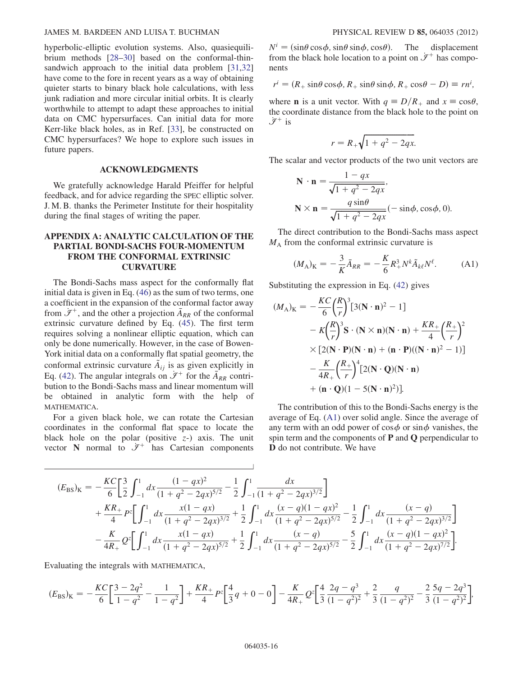hyperbolic-elliptic evolution systems. Also, quasiequilibrium methods [[28](#page-18-25)[–30\]](#page-18-26) based on the conformal-thin-sandwich approach to the initial data problem [[31](#page-18-27)[,32\]](#page-18-28) have come to the fore in recent years as a way of obtaining quieter starts to binary black hole calculations, with less junk radiation and more circular initial orbits. It is clearly worthwhile to attempt to adapt these approaches to initial data on CMC hypersurfaces. Can initial data for more Kerr-like black holes, as in Ref. [[33](#page-18-29)], be constructed on CMC hypersurfaces? We hope to explore such issues in future papers.

### ACKNOWLEDGMENTS

We gratefully acknowledge Harald Pfeiffer for helpful feedback, and for advice regarding the SPEC elliptic solver. J. M. B. thanks the Perimeter Institute for their hospitality during the final stages of writing the paper.

# APPENDIX A: ANALYTIC CALCULATION OF THE PARTIAL BONDI-SACHS FOUR-MOMENTUM FROM THE CONFORMAL EXTRINSIC **CURVATURE**

The Bondi-Sachs mass aspect for the conformally flat initial data is given in Eq. [\(46\)](#page-6-3) as the sum of two terms, one a coefficient in the expansion of the conformal factor away from  $\mathcal{F}^+$ , and the other a projection  $\bar{A}_{RR}$  of the conformal extrinsic curvature defined by Eq. ([45](#page-6-4)). The first term requires solving a nonlinear elliptic equation, which can only be done numerically. However, in the case of Bowen-York initial data on a conformally flat spatial geometry, the conformal extrinsic curvature  $\tilde{A}_{ij}$  is as given explicitly in Eq. ([42](#page-6-1)). The angular integrals on  $\mathcal{F}^+$  for the  $\bar{A}_{RR}$  contribution to the Bondi-Sachs mass and linear momentum will be obtained in analytic form with the help of MATHEMATICA.

For a given black hole, we can rotate the Cartesian coordinates in the conformal flat space to locate the black hole on the polar (positive  $z$ -) axis. The unit vector N normal to  $\mathcal{F}^+$  has Cartesian components

 $N^i = (\sin\theta \cos\phi, \sin\theta \sin\phi)$ <br>from the black hole location  $N^i = (\sin\theta \cos\phi, \sin\theta \sin\phi, \cos\theta)$ . The displacement<br>from the black hole location to a point on  $\mathcal{F}^+$  has components

<span id="page-15-0"></span>
$$
r^{i} = (R_{+} \sin \theta \cos \phi, R_{+} \sin \theta \sin \phi, R_{+} \cos \theta - D) \equiv r n^{i},
$$

where **n** is a unit vector. With  $q \equiv D/R_+$  and  $x \equiv \cos\theta$ ,<br>the coordinate distance from the black hole to the point on the coordinate distance from the black hole to the point on  $\mathcal{I}^+$  is

$$
r = R_+\sqrt{1+q^2-2qx}.
$$

The scalar and vector products of the two unit vectors are

$$
\mathbf{N} \cdot \mathbf{n} = \frac{1 - qx}{\sqrt{1 + q^2 - 2qx}},
$$

$$
\mathbf{N} \times \mathbf{n} = \frac{q \sin \theta}{\sqrt{1 + q^2 - 2qx}} (-\sin \phi, \cos \phi, 0).
$$

<span id="page-15-1"></span>The direct contribution to the Bondi-Sachs mass aspect  $M_A$  from the conformal extrinsic curvature is

$$
(M_A)_K = -\frac{3}{K}\bar{A}_{RR} = -\frac{K}{6}R_+^3 N^k \tilde{A}_{k\ell} N^\ell. \tag{A1}
$$

Substituting the expression in Eq. [\(42\)](#page-6-1) gives

$$
(M_{A})_{K} = -\frac{KC}{6} \left(\frac{R}{r}\right)^{3} [3(\mathbf{N} \cdot \mathbf{n})^{2} - 1]
$$
  
\n
$$
- K \left(\frac{R}{r}\right)^{3} \mathbf{S} \cdot (\mathbf{N} \times \mathbf{n})(\mathbf{N} \cdot \mathbf{n}) + \frac{KR_{+}}{4} \left(\frac{R_{+}}{r}\right)^{2}
$$
  
\n
$$
\times [2(\mathbf{N} \cdot \mathbf{P})(\mathbf{N} \cdot \mathbf{n}) + (\mathbf{n} \cdot \mathbf{P})((\mathbf{N} \cdot \mathbf{n})^{2} - 1)]
$$
  
\n
$$
-\frac{K}{4R_{+}} \left(\frac{R_{+}}{r}\right)^{4} [2(\mathbf{N} \cdot \mathbf{Q})(\mathbf{N} \cdot \mathbf{n}) + (\mathbf{n} \cdot \mathbf{Q})(1 - 5(\mathbf{N} \cdot \mathbf{n})^{2})].
$$

The contribution of this to the Bondi-Sachs energy is the average of Eq. [\(A1](#page-15-1)) over solid angle. Since the average of any term with an odd power of  $\cos \phi$  or  $\sin \phi$  vanishes, the spin term and the components of  $P$  and  $Q$  perpendicular to D do not contribute. We have

$$
(E_{\rm BS})_K = -\frac{KC}{6} \left[ \frac{3}{2} \int_{-1}^1 dx \frac{(1-qx)^2}{(1+q^2-2qx)^{5/2}} - \frac{1}{2} \int_{-1}^1 \frac{dx}{(1+q^2-2qx)^{3/2}} \right] + \frac{KR_+}{4} P^z \left[ \int_{-1}^1 dx \frac{x(1-qx)}{(1+q^2-2qx)^{3/2}} + \frac{1}{2} \int_{-1}^1 dx \frac{(x-q)(1-qx)^2}{(1+q^2-2qx)^{5/2}} - \frac{1}{2} \int_{-1}^1 dx \frac{(x-q)}{(1+q^2-2qx)^{3/2}} \right] - \frac{K}{4R_+} Q^z \left[ \int_{-1}^1 dx \frac{x(1-qx)}{(1+q^2-2qx)^{5/2}} + \frac{1}{2} \int_{-1}^1 dx \frac{(x-q)}{(1+q^2-2qx)^{5/2}} - \frac{5}{2} \int_{-1}^1 dx \frac{(x-q)(1-qx)^2}{(1+q^2-2qx)^{7/2}} \right].
$$

Evaluating the integrals with MATHEMATICA,

$$
(E_{\rm BS})_{\rm K} = -\frac{KC}{6} \left[ \frac{3-2q^2}{1-q^2} - \frac{1}{1-q^2} \right] + \frac{KR_+}{4} P^z \left[ \frac{4}{3}q + 0 - 0 \right] - \frac{K}{4R_+} Q^z \left[ \frac{4}{3} \frac{2q-q^3}{(1-q^2)^2} + \frac{2}{3} \frac{q}{(1-q^2)^2} - \frac{2}{3} \frac{5q-2q^3}{(1-q^2)^2} \right],
$$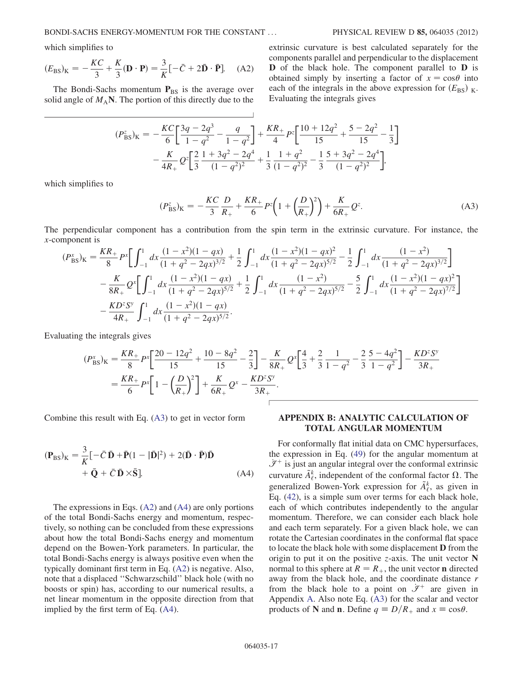<span id="page-16-1"></span>which simplifies to

$$
(E_{\rm BS})_{\rm K} = -\frac{KC}{3} + \frac{K}{3}(\mathbf{D} \cdot \mathbf{P}) = \frac{3}{K}[-\bar{C} + 2\bar{\mathbf{D}} \cdot \bar{\mathbf{P}}].
$$
 (A2)

The Bondi-Sachs momentum  $P_{BS}$  is the average over solid angle of  $M_A$ N. The portion of this directly due to the extrinsic curvature is best calculated separately for the components parallel and perpendicular to the displacement D of the black hole. The component parallel to D is obtained simply by inserting a factor of  $x = \cos\theta$  into each of the integrals in the above expression for  $(E_{BS})_{K}$ . Evaluating the integrals gives

$$
(P_{\rm BS}^z)_{\rm K} = -\frac{KC}{6} \left[ \frac{3q - 2q^3}{1 - q^2} - \frac{q}{1 - q^2} \right] + \frac{KR_+}{4} P^z \left[ \frac{10 + 12q^2}{15} + \frac{5 - 2q^2}{15} - \frac{1}{3} \right] - \frac{K}{4R_+} Q^z \left[ \frac{2}{3} \frac{1 + 3q^2 - 2q^4}{(1 - q^2)^2} + \frac{1}{3} \frac{1 + q^2}{(1 - q^2)^2} - \frac{1}{3} \frac{5 + 3q^2 - 2q^4}{(1 - q^2)^2} \right],
$$

<span id="page-16-3"></span>which simplifies to

$$
(P_{\rm BS}^z)_K = -\frac{KC}{3} \frac{D}{R_+} + \frac{KR_+}{6} P^z \left( 1 + \left( \frac{D}{R_+} \right)^2 \right) + \frac{K}{6R_+} Q^z. \tag{A3}
$$

The perpendicular component has a contribution from the spin term in the extrinsic curvature. For instance, the x-component is

$$
(P_{\rm BS}^x)_K = \frac{KR_+}{8} P^x \bigg[ \int_{-1}^1 dx \frac{(1-x^2)(1-qx)}{(1+q^2-2qx)^{3/2}} + \frac{1}{2} \int_{-1}^1 dx \frac{(1-x^2)(1-qx)^2}{(1+q^2-2qx)^{5/2}} - \frac{1}{2} \int_{-1}^1 dx \frac{(1-x^2)}{(1+q^2-2qx)^{3/2}} \bigg] - \frac{K}{8R_+} Q^x \bigg[ \int_{-1}^1 dx \frac{(1-x^2)(1-qx)}{(1+q^2-2qx)^{5/2}} + \frac{1}{2} \int_{-1}^1 dx \frac{(1-x^2)}{(1+q^2-2qx)^{5/2}} - \frac{5}{2} \int_{-1}^1 dx \frac{(1-x^2)(1-qx)^2}{(1+q^2-2qx)^{7/2}} \bigg] - \frac{KD^zS^y}{4R_+} \int_{-1}^1 dx \frac{(1-x^2)(1-qx)}{(1+q^2-2qx)^{5/2}}.
$$

Evaluating the integrals gives

$$
(P_{\text{BS}}^{x})_{\text{K}} = \frac{KR_{+}}{8}P^{x}\left[\frac{20 - 12q^{2}}{15} + \frac{10 - 8q^{2}}{15} - \frac{2}{3}\right] - \frac{K}{8R_{+}}Q^{x}\left[\frac{4}{3} + \frac{2}{3}\frac{1}{1 - q^{2}} - \frac{2}{3}\frac{5 - 4q^{2}}{1 - q^{2}}\right] - \frac{KD^{z}S^{y}}{3R_{+}}
$$

$$
= \frac{KR_{+}}{6}P^{x}\left[1 - \left(\frac{D}{R_{+}}\right)^{2}\right] + \frac{K}{6R_{+}}Q^{x} - \frac{KD^{z}S^{y}}{3R_{+}}.
$$

<span id="page-16-2"></span>Combine this result with Eq. [\(A3](#page-16-3)) to get in vector form

$$
(\mathbf{P}_{\text{BS}})_{\text{K}} = \frac{3}{K} \left[ -\bar{C} \,\bar{\mathbf{D}} + \bar{\mathbf{P}}(1 - |\bar{\mathbf{D}}|^2) + 2(\bar{\mathbf{D}} \cdot \bar{\mathbf{P}}) \bar{\mathbf{D}} + \bar{\mathbf{Q}} + \bar{C} \,\bar{\mathbf{D}} \times \bar{\mathbf{S}} \right].
$$
\n(A4)

The expressions in Eqs. ([A2](#page-16-1)) and [\(A4](#page-16-2)) are only portions of the total Bondi-Sachs energy and momentum, respectively, so nothing can be concluded from these expressions about how the total Bondi-Sachs energy and momentum depend on the Bowen-York parameters. In particular, the total Bondi-Sachs energy is always positive even when the typically dominant first term in Eq. ([A2](#page-16-1)) is negative. Also, note that a displaced ''Schwarzschild'' black hole (with no boosts or spin) has, according to our numerical results, a net linear momentum in the opposite direction from that implied by the first term of Eq. ([A4](#page-16-2)).

### <span id="page-16-0"></span>APPENDIX B: ANALYTIC CALCULATION OF TOTAL ANGULAR MOMENTUM

For conformally flat initial data on CMC hypersurfaces, the expression in Eq. [\(49\)](#page-7-6) for the angular momentum at  $\mathcal{I}^+$  is just an angular integral over the conformal extrinsic curvature  $\tilde{A}_{\ell}^{k}$ , independent of the conformal factor  $\Omega$ . The generalized Bowen-York expression for  $\tilde{A}_{\ell}^{k}$ , as given in Eq. [\(42\)](#page-6-1), is a simple sum over terms for each black hole, each of which contributes independently to the angular momentum. Therefore, we can consider each black hole and each term separately. For a given black hole, we can rotate the Cartesian coordinates in the conformal flat space to locate the black hole with some displacement D from the origin to put it on the positive  $z$ -axis. The unit vector  $N$ normal to this sphere at  $R = R_{+}$ , the unit vector **n** directed away from the black hole, and the coordinate distance r from the black hole to a point on  $\mathcal{F}^+$  are given in Appendix [A.](#page-15-0) Also note Eq. [\(A3](#page-16-3)) for the scalar and vector products of **N** and **n**. Define  $q \equiv D/R_+$  and  $x \equiv \cos\theta$ .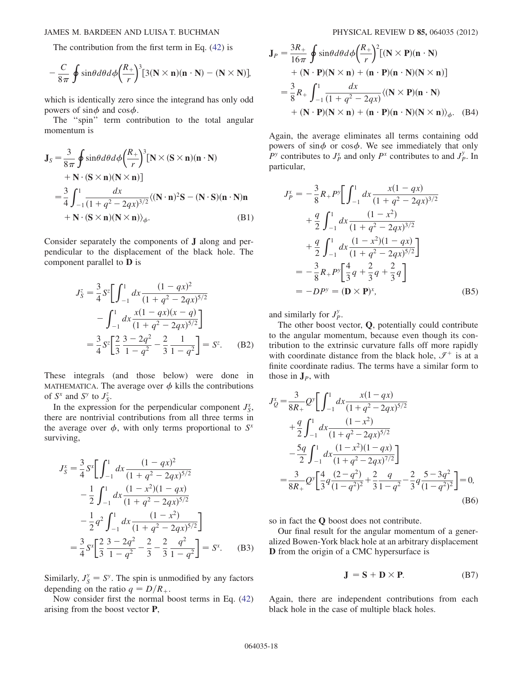The contribution from the first term in Eq. ([42](#page-6-1)) is

$$
-\frac{C}{8\pi}\oint \sin\theta d\theta d\phi \bigg(\frac{R_+}{r}\bigg)^3[3(N \times n)(n \cdot N) - (N \times N)],
$$

which is identically zero since the integrand has only odd powers of  $\sin \phi$  and  $\cos \phi$ .

The ''spin'' term contribution to the total angular momentum is

$$
\mathbf{J}_S = \frac{3}{8\pi} \oint \sin\theta d\theta d\phi \left(\frac{R_+}{r}\right)^3 [\mathbf{N} \times (\mathbf{S} \times \mathbf{n})(\mathbf{n} \cdot \mathbf{N})
$$
  
+  $\mathbf{N} \cdot (\mathbf{S} \times \mathbf{n})(\mathbf{N} \times \mathbf{n})$ ]  
=  $\frac{3}{4} \int_{-1}^{1} \frac{dx}{(1 + q^2 - 2qx)^{3/2}} \langle (\mathbf{N} \cdot \mathbf{n})^2 \mathbf{S} - (\mathbf{N} \cdot \mathbf{S})(\mathbf{n} \cdot \mathbf{N}) \mathbf{n}$   
+  $\mathbf{N} \cdot (\mathbf{S} \times \mathbf{n})(\mathbf{N} \times \mathbf{n}) \rangle_{\phi}.$  (B1)

Consider separately the components of J along and perpendicular to the displacement of the black hole. The component parallel to D is

$$
J_S^z = \frac{3}{4} S^z \bigg[ \int_{-1}^1 dx \frac{(1 - qx)^2}{(1 + q^2 - 2qx)^{5/2}} - \int_{-1}^1 dx \frac{x(1 - qx)(x - q)}{(1 + q^2 - 2qx)^{5/2}} \bigg]
$$
  
=  $\frac{3}{4} S^z \bigg[ \frac{2}{3} \frac{3 - 2q^2}{1 - q^2} - \frac{2}{3} \frac{1}{1 - q^2} \bigg] = S^z.$  (B2)

These integrals (and those below) were done in MATHEMATICA. The average over  $\phi$  kills the contributions of  $S^x$  and  $S^y$  to  $J^z_s$ .

In the expression for the perpendicular component  $J_S^x$ , there are nontrivial contributions from all three terms in the average over  $\phi$ , with only terms proportional to  $S^x$ surviving,

$$
J_S^x = \frac{3}{4} S^x \bigg[ \int_{-1}^1 dx \frac{(1 - qx)^2}{(1 + q^2 - 2qx)^{5/2}} - \frac{1}{2} \int_{-1}^1 dx \frac{(1 - x^2)(1 - qx)}{(1 + q^2 - 2qx)^{5/2}} - \frac{1}{2} q^2 \int_{-1}^1 dx \frac{(1 - x^2)}{(1 + q^2 - 2qx)^{5/2}} \bigg] = \frac{3}{4} S^x \bigg[ \frac{2}{3} \frac{3 - 2q^2}{1 - q^2} - \frac{2}{3} - \frac{2}{3} \frac{q^2}{1 - q^2} \bigg] = S^x. \tag{B3}
$$

Similarly,  $J_S^y = S^y$ . The spin is unmodified by any factors<br>depending on the ratio  $a = D/R$ . depending on the ratio  $q = D/R<sub>+</sub>$ .

Now consider first the normal boost terms in Eq. [\(42\)](#page-6-1) arising from the boost vector P,

$$
\mathbf{J}_P = \frac{3R_+}{16\pi} \oint \sin\theta d\theta d\phi \left(\frac{R_+}{r}\right)^2 \left[(\mathbf{N} \times \mathbf{P})(\mathbf{n} \cdot \mathbf{N}) + (\mathbf{N} \cdot \mathbf{P})(\mathbf{N} \times \mathbf{n}) + (\mathbf{n} \cdot \mathbf{P})(\mathbf{n} \cdot \mathbf{N})(\mathbf{N} \times \mathbf{n})\right]
$$
  
=  $\frac{3}{8}R_+ \int_{-1}^1 \frac{dx}{(1+q^2-2qx)} \langle (\mathbf{N} \times \mathbf{P})(\mathbf{n} \cdot \mathbf{N}) + (\mathbf{N} \cdot \mathbf{P})(\mathbf{N} \times \mathbf{n}) \rangle_{\phi}.$  (B4)

Again, the average eliminates all terms containing odd powers of  $sin \phi$  or  $cos \phi$ . We see immediately that only  $P<sup>y</sup>$  contributes to  $J<sub>P</sub><sup>x</sup>$  and only  $P<sup>x</sup>$  contributes to and  $J<sup>y</sup><sub>P</sub>$ . In particular,

$$
J_P^x = -\frac{3}{8} R_+ P^y \left[ \int_{-1}^1 dx \frac{x(1-qx)}{(1+q^2-2qx)^{3/2}} + \frac{q}{2} \int_{-1}^1 dx \frac{(1-x^2)}{(1+q^2-2qx)^{3/2}} + \frac{q}{2} \int_{-1}^1 dx \frac{(1-x^2)(1-qx)}{(1+q^2-2qx)^{5/2}} \right]
$$
  
=  $-\frac{3}{8} R_+ P^y \left[ \frac{4}{3} q + \frac{2}{3} q + \frac{2}{3} q \right]$   
=  $-DP^y = (\mathbf{D} \times \mathbf{P})^x$ , (B5)

and similarly for  $J_p^y$ .

The other boost vector, Q, potentially could contribute to the angular momentum, because even though its contribution to the extrinsic curvature falls off more rapidly with coordinate distance from the black hole,  $\mathcal{I}^+$  is at a finite coordinate radius. The terms have a similar form to those in  $J_p$ , with

$$
J_Q^x = \frac{3}{8R_+} Q^y \bigg[ \int_{-1}^1 dx \frac{x(1-qx)}{(1+q^2-2qx)^{5/2}} + \frac{q}{2} \int_{-1}^1 dx \frac{(1-x^2)}{(1+q^2-2qx)^{5/2}} - \frac{5q}{2} \int_{-1}^1 dx \frac{(1-x^2)(1-qx)}{(1+q^2-2qx)^{7/2}} \bigg] = \frac{3}{8R_+} Q^y \bigg[ \frac{4}{3} q \frac{(2-q^2)}{(1-q^2)^2} + \frac{2}{3} \frac{q}{1-q^2} - \frac{2}{3} q \frac{5-3q^2}{(1-q^2)^2} \bigg] = 0,
$$
(B6)

so in fact the Q boost does not contribute.

<span id="page-17-0"></span>Our final result for the angular momentum of a generalized Bowen-York black hole at an arbitrary displacement D from the origin of a CMC hypersurface is

$$
\mathbf{J} = \mathbf{S} + \mathbf{D} \times \mathbf{P}.\tag{B7}
$$

Again, there are independent contributions from each black hole in the case of multiple black holes.